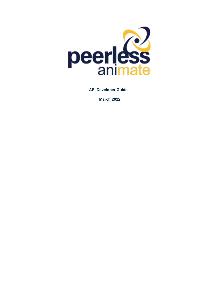

**API Developer Guide**

**March 2022**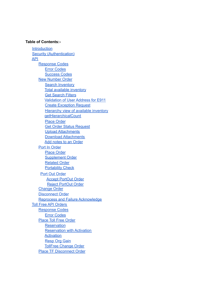#### **Table of Contents:-**

Introduction Security (Authentication) API Response Codes Error Codes Success Codes New Number Order Search Inventory Total available inventory Get Search Filters Validation of User Address for E911 Create Exception Request Hierarchy view of available inventory getHierarchicalCount Place Order Get Order Status Request Upload Attachments Download Attachments Add notes to an Order Port In Order Place Order Supplement Order Related Order **Portability Check** Port Out Order Accept PortOut Order Reject PortOut Order Change Order Disconnect Order Reprocess and Failure Acknowledge Toll Free API Orders Response Codes Error Codes Place Toll Free Order **Reservation** Reservation with Activation **Activation** Resp Org Gain TollFree Change Order Place TF Disconnect Order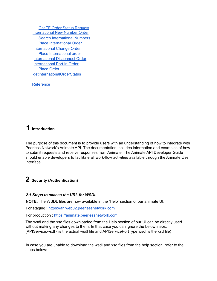Get TF Order Status Request International New Number Order Search International Numbers Place International Order International Change Order Place International order International Disconnect Order International Port In Order Place Order getInternationalOrderStatus

Reference

# **1 Introduction**

The purpose of this document is to provide users with an understanding of how to integrate with Peerless Network's Animate API. The documentation includes information and examples of how to submit requests and receive responses from Animate. The Animate API Developer Guide should enable developers to facilitate all work-flow activities available through the Animate User Interface.

# **2 Security (Authentication)**

## *2.1 Steps to access the URL for WSDL*

**NOTE:** The WSDL files are now available in the 'Help' section of our animate UI.

For staging : https://aniweb02.peerlessnetwork.com

For production : https://animate.peerlessnetwork.com

The wsdl and the xsd files downloaded from the Help section of our UI can be directly used without making any changes to them. In that case you can ignore the below steps. (APIService.wsdl - is the actual wsdl file and APIServicePortType.wsdl is the xsd file)

In case you are unable to download the wsdl and xsd files from the help section, refer to the steps below: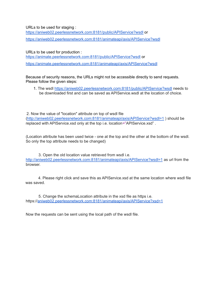URLs to be used for staging :

https://aniweb02.peerlessnetwork.com:8181/public/APIService?wsdl or https://aniweb02.peerlessnetwork.com:8181/animateapi/axis/APIService?wsdl

URLs to be used for production : https://animate.peerlessnetwork.com:8181/public/APIService?wsdl or https://animate.peerlessnetwork.com:8181/animateapi/axis/APIService?wsdl

Because of security reasons, the URLs might not be accessible directly to send requests. Please follow the given steps:

1. The wsdl https://aniweb02.peerlessnetwork.com:8181/public/APIService?wsdl needs to be downloaded first and can be saved as APIService.wsdl at the location of choice.

2. Now the value of "location" attribute on top of wsdl file (http://aniweb02.peerlessnetwork.com:8181/animateapi/axis/APIService?wsdl=1 ) should be replaced with APIService.xsd only at the top i.e. location="APIService.xsd" .

(Location attribute has been used twice - one at the top and the other at the bottom of the wsdl. So only the top attribute needs to be changed)

3. Open the old location value retrieved from wsdl i.e. http://aniweb02.peerlessnetwork.com:8181/animateapi/axis/APIService?wsdl=1 as url from the browser.

4. Please right click and save this as APIService.xsd at the same location where wsdl file was saved.

5. Change the schemaLocation attribute in the xsd file as https i.e. https://aniweb02.peerlessnetwork.com:8181/animateapi/axis/APIService?xsd=1

Now the requests can be sent using the local path of the wsdl file.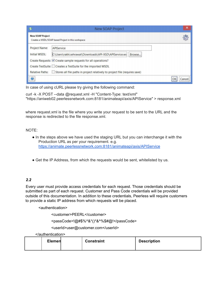|                         | ×<br>New SOAP Project                                                                       |              |  |
|-------------------------|---------------------------------------------------------------------------------------------|--------------|--|
| <b>New SOAP Project</b> | Creates a WSDL/SOAP based Project in this workspace                                         | 懲            |  |
| Project Name:           | APIService                                                                                  |              |  |
| Initial WSDL:           |                                                                                             |              |  |
|                         | Create Requests: V Create sample requests for all operations?                               |              |  |
|                         | Create TestSuite: Creates a TestSuite for the imported WSDL                                 |              |  |
|                         | Relative Paths: Stores all file paths in project relatively to project file (requires save) |              |  |
| $\bar{\mathbf{u}}$      |                                                                                             | OK<br>Cancel |  |

In case of using cURL please try giving the following command:

curl -k -X POST --data @request.xml -H "Content-Type: text/xml" "https://aniweb02.peerlessnetwork.com:8181/animateapi/axis/APIService" > response.xml

where request.xml is the file where you write your request to be sent to the URL and the response is redirected to the file response.xml.

#### NOTE:

- In the steps above we have used the staging URL but you can interchange it with the Production URL as per your requirement. e.g. https://animate.peerlessnetwork.com:8181/animateapi/axis/APIService
- Get the IP Address, from which the requests would be sent, whitelisted by us.

## *2.2*

Every user must provide access credentials for each request. Those credentials should be submitted as part of each request. Customer and Pass Code credentials will be provided outside of this documentation. In addition to these credentials, Peerless will require customers to provide a static IP address from which requests will be placed.

<authentication>

<customer>PEERL</customer>

<passCode>!@#\$%^&\*()\*&^%\$#@!</passCode>

<userId>user@customer.com</userId>

</authentication>

| Elemen | <b>Constraint</b> | <b>Description</b> |
|--------|-------------------|--------------------|
|        |                   |                    |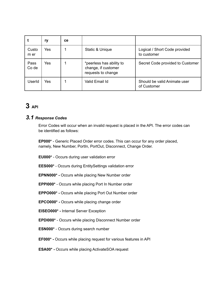|               | ry  | <b>ce</b> |                                                                       |                                              |
|---------------|-----|-----------|-----------------------------------------------------------------------|----------------------------------------------|
| Custo<br>m er | Yes |           | Static & Unique                                                       | Logical / Short Code provided<br>to customer |
| Pass<br>Co de | Yes |           | *peerless has ability to<br>change, if customer<br>requests to change | Secret Code provided to Customer             |
| UserId        | Yes |           | Valid Email Id                                                        | Should be valid Animate user<br>of Customer  |

# **3 API**

# *3.1 Response Codes*

Error Codes will occur when an invalid request is placed in the API. The error codes can be identified as follows:

**EP000\*** - Generic Placed Order error codes. This can occur for any order placed, namely, New Number, PortIn, PortOut, Disconnect, Change Order.

**EU000\*** - Occurs during user validation error

**EES000\*** - Occurs during EntitySettings validation error

**EPNN000\* -** Occurs while placing New Number order

**EPPI000\*** - Occurs while placing Port In Number order

**EPPO000\* -** Occurs while placing Port Out Number order

**EPCO000\* -** Occurs while placing change order

**EISEO000\* -** Internal Server Exception

**EPDI000\*** - Occurs while placing Disconnect Number order

**ESN000\*** - Occurs during search number

**EF000\* -** Occurs while placing request for various features in API

**ESA00\* -** Occurs while placing ActivateSOA request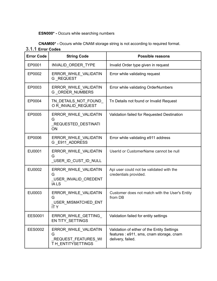# **ESN000\* -** Occurs while searching numbers

**CNAM00\* -** Occurs while CNAM storage string is not according to required format.

# **3.1.1 Error Codes**

| <b>Error Code</b> | <b>String Code</b>                                                     | <b>Possible reasons</b>                                                                                      |
|-------------------|------------------------------------------------------------------------|--------------------------------------------------------------------------------------------------------------|
| EP0001            | <b>INVALID ORDER TYPE</b>                                              | Invalid Order type given in request                                                                          |
| EP0002            | ERROR WHILE VALIDATIN<br>G REQUEST                                     | Error while validating request                                                                               |
| EP0003            | ERROR WHILE VALIDATIN<br><b>G ORDER NUMBERS</b>                        | Error while validating OrderNumbers                                                                          |
| EP0004            | TN DETAILS NOT FOUND<br>OR INVALID REQUEST                             | Th Details not found or Invalid Request                                                                      |
| EP0005            | ERROR WHILE VALIDATIN<br>G<br>_REQUESTED_DESTINATI<br>ON               | Validation failed for Requested Destination                                                                  |
| EP0006            | ERROR WHILE VALIDATIN<br>G E911 ADDRESS                                | Error while validating e911 address                                                                          |
| EU0001            | ERROR WHILE VALIDATIN<br>G<br>USER_ID_CUST_ID_NULL                     | UserId or CustomerName cannot be null                                                                        |
| EU0002            | ERROR WHILE VALIDATIN<br>G<br>USER_INVALID_CREDENT<br><b>IALS</b>      | Api user could not be validated with the<br>credentials provided.                                            |
| EU0003            | ERROR WHILE VALIDATIN<br>G<br>USER MISMATCHED ENT<br><b>ITY</b>        | Customer does not match with the User's Entity<br>from DB                                                    |
| <b>EES0001</b>    | ERROR WHILE GETTING<br>EN TITY_SETTINGS                                | Validation failed for entity settings                                                                        |
| <b>EES0002</b>    | ERROR WHILE VALIDATIN<br>G<br>REQUEST_FEATURES_WI<br>TH ENTITYSETTINGS | Validation of either of the Entity Settings<br>features : e911, sms, cnam storage, cnam<br>delivery, failed. |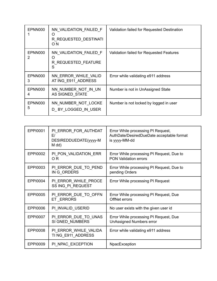| EPNN000      | NN VALIDATION FAILED F<br>O<br>R REQUESTED DESTINATI<br>O N | Validation failed for Requested Destination |
|--------------|-------------------------------------------------------------|---------------------------------------------|
| EPNN000      | NN VALIDATION FAILED F<br>Ω<br>R REQUESTED FEATURE<br>S     | Validation failed for Requested Features    |
| EPNN000<br>3 | NN ERROR WHILE VALID<br>AT ING E911 ADDRESS                 | Error while validating e911 address         |
| EPNN000<br>4 | NN NUMBER NOT IN UN<br>AS SIGNED STATE                      | Number is not in UnAssigned State           |
| EPNN000<br>5 | NN NUMBER NOT LOCKE<br>D BY LOGGED IN USER                  | Number is not locked by logged in user      |

| EPPI0001        | PI_ERROR_FOR_AUTHDAT<br>E/<br>DESIREDDUEDATE(yyyy-M<br>M dd) | Error While processing PI Request,<br>AuthDate/DesiredDueDate acceptable format<br>is yyyy-MM-dd |
|-----------------|--------------------------------------------------------------|--------------------------------------------------------------------------------------------------|
| <b>EPPI0002</b> | PI_PON_VALIDATION_ERR<br>O <sub>R</sub>                      | Error While processing PI Request, Due to<br><b>PON Validation errors</b>                        |
| EPPI0003        | PI_ERROR_DUE_TO_PEND<br>IN G ORDERS                          | Error While processing PI Request, Due to<br>pending Orders                                      |
| <b>EPPI0004</b> | PI_ERROR_WHILE_PROCE<br>SS ING PI REQUEST                    | Error While processing PI Request                                                                |
| <b>EPPI0005</b> | PI_ERROR_DUE_TO_OFFN<br>ET ERRORS                            | Error While processing PI Request, Due<br>OffNet errors                                          |
| <b>EPPI0006</b> | PI INVALID_USERID                                            | No user exists with the given user id                                                            |
| <b>EPPI0007</b> | PI_ERROR_DUE_TO_UNAS<br>SI GNED_NUMBERS                      | Error While processing PI Request, Due<br><b>UnAssigned Numbers error</b>                        |
| <b>EPPI0008</b> | PI_ERROR_WHILE_VALIDA<br>TING_E911_ADDRESS                   | Error while validating e911 address                                                              |
| <b>EPPI0009</b> | PI NPAC EXCEPTION                                            | NpacException                                                                                    |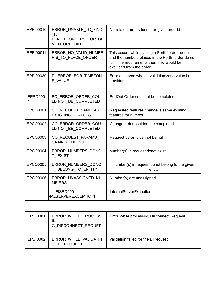| EPPI00010       | ERROR UNABLE TO FIND<br>-R<br>ELATED ORDERS FOR GI<br><b>VEN ORDERID</b> | No related orders found for given orderld                                                                                                                                        |
|-----------------|--------------------------------------------------------------------------|----------------------------------------------------------------------------------------------------------------------------------------------------------------------------------|
| EPPI00011       | ERROR_NO_VALID_NUMBE<br>R S TO PLACE ORDER                               | This occurs while placing a Portln order request<br>and the numbers placed in the PortIn order do not<br>fulfill the requirements then they would be<br>excluded from the order. |
| EPPI00020       | PI_ERROR_FOR_TIMEZON<br>E VALUE                                          | Error observed when invalid timezone value is<br>provided                                                                                                                        |
| EPPO000<br>1    | PO ERROR ORDER COU<br>LD NOT_BE_COMPLETED                                | PortOut Order couldnot be completed                                                                                                                                              |
| EPCO0001        | CO_REQUEST_SAME_AS_<br><b>EX ISTING FEATUES</b>                          | Requested features change is same existing<br>features for number                                                                                                                |
| EPCO0002        | CO ERROR ORDER COU<br>LD NOT BE COMPLETED                                | Change order couldnot be completed                                                                                                                                               |
| EPCO0003        | CO REQUEST PARAMS<br>CA NNOT BE NULL                                     | Request params cannot be null                                                                                                                                                    |
| <b>EPCO0004</b> | ERROR_NUMBERS_DONO<br>T EXIST                                            | number(s) in request donot exist                                                                                                                                                 |
| <b>EPCO0005</b> | ERROR NUMBERS DONO<br>T_BELONG_TO_ENTITY                                 | number(s) in request donot belong to the given<br>entity                                                                                                                         |
| <b>EPCO0006</b> | ERROR UNASSIGNED NU<br><b>MB ERS</b>                                     | Number(s) are unassigned                                                                                                                                                         |
|                 | <b>EISEO0001</b><br>NALSERVEREXCEPTIO N                                  | InternalServerException                                                                                                                                                          |

| <b>EPDI0001</b> | ERROR WHILE PROCESS<br>IN<br><b>G DISCONNECT REQUES</b> | Error While processing Disconnect Request |
|-----------------|---------------------------------------------------------|-------------------------------------------|
| <b>EPDI0002</b> | ERROR WHILE VALIDATIN<br><b>DI REQUEST</b><br>G         | Validation failed for the DI request      |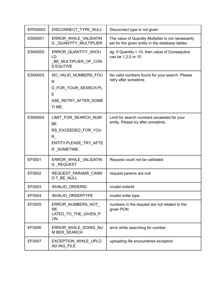| EPDI0003       | DISCONNECT_TYPE_NULL                                                                                    | Disconnect type is not given                                                                            |
|----------------|---------------------------------------------------------------------------------------------------------|---------------------------------------------------------------------------------------------------------|
| <b>ESN0001</b> | ERROR WHILE VALIDATIN<br>G_QUANTITY_MULTIPLIER                                                          | The value of Quantity Multiplier is not necessarily<br>set for the given entity in the database tables. |
| <b>ESN0002</b> | ERROR_QUANTITY_SHOU<br>LD<br>BE_MULTIPLIER_OF_CON<br>S EQUTIVE                                          | eg: If Quantity = 10, then value of Consequtive<br>can be 1,2,5 or 10                                   |
| <b>ESN0003</b> | NO_VALID_NUMBERS_FOU<br>N<br>D_FOR_YOUR_SEARCH.PL<br>E<br>ASE_RETRY_AFTER_SOME<br>TI ME.                | No valid numbers found for your search. Please<br>retry after sometime.                                 |
| <b>ESN0004</b> | LIMIT FOR SEARCH NUM<br><b>BE</b><br>RS_EXCEEDED_FOR_YOU<br>R.<br>ENTITY.PLEASE_TRY_AFTE<br>R_SOMETIME. | Limit for search numbers exceeded for your<br>entity. Please try after sometime.                        |
| EF0001         | ERROR WHILE VALIDATIN<br>G REQUEST                                                                      | Request could not be validated                                                                          |
| EF0002         | REQUEST_PARAMS_CANN<br>OT_BE_NULL                                                                       | request params are null                                                                                 |
| EF0003         | INVALID_ORDERID                                                                                         | invalid orderId                                                                                         |
| EF0004         | INVALID_ORDERTYPE                                                                                       | invalid order type                                                                                      |
| EF0005         | ERROR_NUMBERS_NOT_<br><b>RE</b><br>LATED_TO_THE_GIVEN_P<br>ON                                           | numbers in the request are not related to the<br>given PON                                              |
| EF0006         | ERROR_WHILE_DOING_NU<br>M BER_SEARCH                                                                    | error while searching for number                                                                        |
| EF0007         | EXCEPTION_WHILE_UPLO<br>AD ING FILE                                                                     | uploading file encountered exception                                                                    |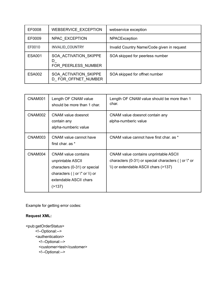| EF0008        | <b>WEBSERVICE EXCEPTION</b>                       | webservice exception                       |
|---------------|---------------------------------------------------|--------------------------------------------|
| EF0009        | NPAC EXCEPTION                                    | <b>NPACException</b>                       |
| EF0010        | INVALID_COUNTRY                                   | Invalid Country Name/Code given in request |
| <b>ESA001</b> | SOA ACTIVATION SKIPPE<br>D<br>FOR PEERLESS NUMBER | SOA skipped for peerless number            |
| <b>ESA002</b> | SOA ACTIVATION SKIPPE<br>D FOR OFFNET NUMBER      | SOA skipped for offnet number              |

| CNAM001 | Length OF CNAM value<br>should be more than 1 char.                                                                                                                            | Length OF CNAM value should be more than 1<br>char.                                                                                                       |
|---------|--------------------------------------------------------------------------------------------------------------------------------------------------------------------------------|-----------------------------------------------------------------------------------------------------------------------------------------------------------|
| CNAM002 | CNAM value doesnot<br>contain any<br>alpha-numberic value                                                                                                                      | CNAM value doesnot contain any<br>alpha-numberic value                                                                                                    |
| CNAM003 | CNAM value cannot have<br>first char. as *                                                                                                                                     | CNAM value cannot have first char, as *                                                                                                                   |
| CNAM004 | <b>CNAM</b> value contains<br>unprintable ASCII<br>characters (0-31) or special<br>characters ( $ $ or $\mathcal{N}$ or $\mathcal{N}$ ) or<br>extendable ASCII chars<br>(2137) | <b>CNAM value contains unprintable ASCII</b><br>characters (0-31) or special characters ( $\vert$ or $\vert$ " or<br>\\) or extendable ASCII chars (>137) |

Example for getting error codes:

# **Request XML:**

<pub:getOrderStatus> <!--Optional:--> <authentication> <!--Optional:--> <customer>test</customer> <!--Optional:-->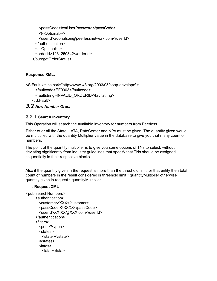```
<passCode>testUserPassword</passCode>
   <!--Optional:-->
   <userId>adonalson@peerlessnetwork.com</userId>
 </authentication>
 <!--Optional:-->
 <orderId>1231250342</orderId>
</pub:getOrderStatus>
```
# **Response XML:**

```
<S:Fault xmlns:ns4="http://www.w3.org/2003/05/soap-envelope">
     <faultcode>EF0003</faultcode>
     <faultstring>INVALID_ORDERID</faultstring>
   </S:Fault>
```
# *3.2 New Number Order*

# **3.2.1 Search Inventory**

This Operation will search the available inventory for numbers from Peerless.

Either of or all the State, LATA, RateCenter and NPA must be given. The quantity given would be multiplied with the quantity Multiplier value in the database to give you that many count of numbers.

The point of the quantity multiplier is to give you some options of TNs to select, without deviating significantly from industry guidelines that specify that TNs should be assigned sequentially in their respective blocks.

Also if the quantity given in the request is more than the threshold limit for that entity then total count of numbers in the result considered is threshold limit \* quantityMultiplier otherwise quantity given in request \* quantityMultiplier.

## . **Request XML**

```
<pub:searchNumbers>
     <authentication>
      <customer>XXX</customer>
      <passCode>XXXXX</passCode>
      <userId>XX.XX@XXX.com</userId>
     </authentication>
     <filters>
      <pon>?</pon>
      <states>
        <state></state>
      </states>
      <latas>
        <lata></lata>
```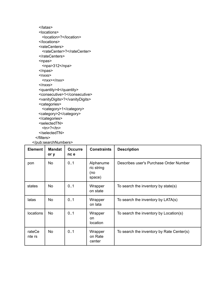```
</latas>
   <locations>
     <location>?</location>
   </locations>
   <rateCenters>
     <rateCenter>?</rateCenter>
   </rateCenters>
   <npas>
     <npa>312</npa>
   </npas>
   <sub>nxxs</sub></sub>
     <nxx></nxx>
   </nxxs>
   <quantity>4</quantity>
   <consecutive>1</consecutive>
   <vanityDigits>?</vanityDigits>
   <categories>
     <category>1</category>
   <category>2</category>
   </categories>
   <selectedTN>
     <tn>?</tn>
   </selectedTN>
 </filters>
</pub:searchNumbers>
```

| <b>Element</b>   | <b>Mandat</b><br>or y | <b>Occurre</b><br>nc e | <b>Constraints</b>                       | <b>Description</b>                        |
|------------------|-----------------------|------------------------|------------------------------------------|-------------------------------------------|
| pon              | <b>No</b>             | 0.1                    | Alphanume<br>ric string<br>(no<br>space) | Describes user's Purchase Order Number    |
| states           | <b>No</b>             | 0.1                    | Wrapper<br>on state                      | To search the inventory by state(s)       |
| latas            | <b>No</b>             | 01                     | Wrapper<br>on lata                       | To search the inventory by LATA(s)        |
| locations        | <b>No</b>             | 01                     | Wrapper<br>on<br>location                | To search the inventory by Location(s)    |
| rateCe<br>nte rs | <b>No</b>             | 0.1                    | Wrapper<br>on Rate<br>center             | To search the inventory by Rate Center(s) |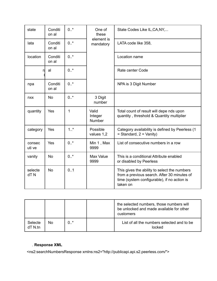| state            | Conditi<br>on al | $0.7*$  | One of<br>these            | State Codes Like IL, CA, NY,                                                                                                                           |
|------------------|------------------|---------|----------------------------|--------------------------------------------------------------------------------------------------------------------------------------------------------|
| lata             | Conditi<br>on al | $0.7*$  | element is<br>mandatory    | LATA code like 358,                                                                                                                                    |
| location         | Conditi<br>on al | $0.7*$  |                            | Location name                                                                                                                                          |
| rł               | al               | $0.1*$  |                            | Rate center Code                                                                                                                                       |
| npa              | Conditi<br>on al | $0.7*$  |                            | NPA is 3 Digit Number                                                                                                                                  |
| nxx              | No               | $0.7*$  | 3 Digit<br>number          |                                                                                                                                                        |
| quantity         | Yes              | 1       | Valid<br>Integer<br>Number | Total count of result will depe nds upon<br>quantity, threshold & Quantity multiplier                                                                  |
| category         | Yes              | $1.1$ * | Possible<br>values 1,2     | Category availability is defined by Peerless (1<br>$=$ Standard, $2 =$ Vanity)                                                                         |
| consec<br>uti ve | Yes              | $0.7*$  | Min 1, Max<br>9999         | List of consecutive numbers in a row                                                                                                                   |
| vanity           | <b>No</b>        | $0.7*$  | Max Value<br>9999          | This is a conditional Attribute enabled<br>or disabled by Peerless                                                                                     |
| selecte<br>dTN   | <b>No</b>        | 0.1     |                            | This gives the ability to select the numbers<br>from a previous search. After 30 minutes of<br>time (system configurable), if no action is<br>taken on |

|                       |    |     | the selected numbers, those numbers will<br>be unlocked and made available for other<br>customers |
|-----------------------|----|-----|---------------------------------------------------------------------------------------------------|
| Selecte<br>$dT N$ .tn | No | ∩ * | List of all the numbers selected and to be.<br>locked                                             |

# . **Response XML**

<ns2:searchNumbersResponse xmlns:ns2="http://publicapi.api.s2.peerless.com/">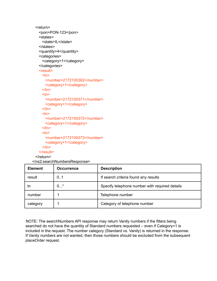```
<return>
 <pon>PON-123</pon>
 <states>
   <state>IL</state>
 </states>
 <quantity>4</quantity>
 <categories>
   <category>1</category>
 </categories>
 <result>
   <tn>
     <number>2172100362</number>
     <category>1</category>
   $\langletn><tn>
     <number>2172100371</number>
     <category>1</category>
   $\langletn><tn>
     <number>2172100372</number>
     <category>1</category>
   $\langletn><sub>tn</sub></sub>
     <number>2172100373</number>
     <category>1</category>
   </tn></result>
</return>
```
</ns2:searchNumbersResponse>

| <b>Element</b> | <b>Occurrence</b> | <b>Description</b>                             |
|----------------|-------------------|------------------------------------------------|
| result         | 0.1               | If search criteria found any results           |
| tn             | $0^*$             | Specify telephone number with required details |
| number         |                   | Telephone number                               |
| category       |                   | Category of telephone number                   |

NOTE: The searchNumbers API response may return Vanity numbers if the filters being searched do not have the quantity of Standard numbers requested – even if Category=1 is included in the request. The number category (Standard vs. Vanity) is returned in the response. If Vanity numbers are not wanted, then those numbers should be excluded from the subsequent placeOrder request.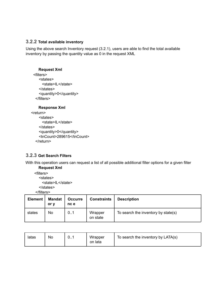# **3.2.2 Total available inventory**

Using the above search Inventory request (3.2.1), users are able to find the total available inventory by passing the quantity value as 0 in the request XML

#### **Request Xml**

```
<filters>
   <states>
     <state>IL</state>
   </states>
   <quantity>0</quantity>
 </filters>
```
#### **Response Xml**

```
<return>
    <states>
      <state>IL</state>
    </states>
    <quantity>0</quantity>
    <tnCount>289615</tnCount>
  </return>
```
# **3.2.3 Get Search Filters**

With this operation users can request a list of all possible additional filter options for a given filter **Request Xml**

<filters> <states> <state>IL</state> </states> </filters>

| <b>Element</b> | <b>Mandat</b><br>or v | <b>Occurre</b><br>nc e | <b>Constraints</b>  | <b>Description</b>                  |
|----------------|-----------------------|------------------------|---------------------|-------------------------------------|
| states         | No                    | 0.1                    | Wrapper<br>on state | To search the inventory by state(s) |

| latas | No | 0 | Wrapper<br>on lata | To search the inventory by LATA(s) |
|-------|----|---|--------------------|------------------------------------|
|-------|----|---|--------------------|------------------------------------|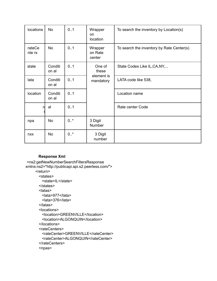| locations        | <b>No</b>        | 0.1    | Wrapper<br>on<br>location    | To search the inventory by Location(s)    |
|------------------|------------------|--------|------------------------------|-------------------------------------------|
| rateCe<br>nte rs | <b>No</b>        | 0.1    | Wrapper<br>on Rate<br>center | To search the inventory by Rate Center(s) |
| state            | Conditi<br>on al | 0.1    | One of<br>these              | State Codes Like IL, CA, NY,              |
| lata             | Conditi<br>on al | 0.1    | element is<br>mandatory      | LATA code like 538,                       |
| location         | Conditi<br>on al | 0.1    |                              | Location name                             |
|                  | al               | 0.1    |                              | Rate center Code                          |
| npa              | <b>No</b>        | $0.$ * | 3 Digit<br><b>Number</b>     |                                           |
| nxx              | <b>No</b>        | $0.7*$ | 3 Digit<br>number            |                                           |

## **Response Xml**

```
<ns2:getNewNumberSearchFiltersResponse
xmlns:ns2="http://publicapi.api.s2.peerless.com/">
     <return>
       <states>
        <state>IL</state>
       </states>
       <latas>
        <lata>977</lata>
        <lata>376</lata>
       </latas>
       <locations>
        <location>GREENVILLE</location>
        <location>ALGONQUIN</location>
       </locations>
       <rateCenters>
        <rateCenter>GREENVILLE</rateCenter>
        <rateCenter>ALGONQUIN</rateCenter>
       </rateCenters>
       <npas>
```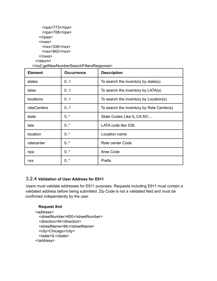```
<npa>773</npa>
    <npa>708</npa>
  </npas>
  <sub>nxxs</sub></sub>
   <nxx>338</nxx>
   <nxx>942</nxx>
  </nxxs></return>
```

| <b>Element</b> | <b>Occurrence</b> | <b>Description</b>                        |
|----------------|-------------------|-------------------------------------------|
| states         | 0.1               | To search the inventory by state(s)       |
| latas          | 0.1               | To search the inventory by LATA(s)        |
| locations      | 01                | To search the inventory by Location(s)    |
| rateCenters    | 01                | To search the inventory by Rate Center(s) |
| state          | $0.1*$            | State Codes Like IL, CA, NY,              |
| lata           | 0.7               | LATA code like 538,                       |
| location       | $0.1*$            | Location name                             |
| ratecenter     | $0.7^*$           | Rate center Code                          |
| npa            | $0.7^*$           | Area Code                                 |
| nxx            | 0.7               | Prefix                                    |

# **3.2.4 Validation of User Address for E911**

Users must validate addresses for E911 purposes. Requests including E911 must contain a validated address before being submitted. Zip Code is not a validated field and must be confirmed independently by the user.

#### **Request Xml**

```
<address>
 <streetNumber>600</streetNumber>
 <direction>N</direction>
 <streetName>Mc</streetName>
 <city>Chicago</city>
 <state>IL</state>
</address>
```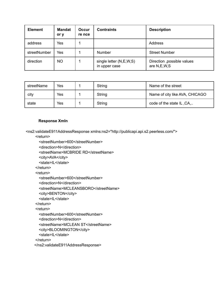| <b>Element</b> | <b>Mandat</b><br>or y | <b>Occur</b><br>re nce | <b>Contraints</b>                        | <b>Description</b>                         |
|----------------|-----------------------|------------------------|------------------------------------------|--------------------------------------------|
| address        | Yes                   |                        |                                          | Address                                    |
| streetNumber   | Yes                   |                        | <b>Number</b>                            | <b>Street Number</b>                       |
| direction      | <b>NO</b>             |                        | single letter (N,E,W,S)<br>in upper case | Direction , possible values<br>are N,E,W,S |

| streetName | Yes | String | Name of the street             |
|------------|-----|--------|--------------------------------|
| city       | Yes | String | Name of city like AVA, CHICAGO |
| state      | Yes | String | code of the state IL, CA,      |

#### **Response Xmln**

<ns2:validateE911AddressResponse xmlns:ns2="http://publicapi.api.s2.peerless.com/">

<return>

<streetNumber>600</streetNumber>

<direction>N</direction>

<streetName>MCBRIDE RD</streetName>

<city>AVA</city>

<state>IL</state>

</return>

<return>

<streetNumber>600</streetNumber>

<direction>N</direction>

<streetName>MCLEANSBORO</streetName>

<city>BENTON</city>

<state>IL</state>

```
</return>
```
<return>

<streetNumber>600</streetNumber>

```
<direction>N</direction>
```
<streetName>MCLEAN ST</streetName>

<city>BLOOMINGTON</city>

<state>IL</state>

</return>

```
</ns2:validateE911AddressResponse>
```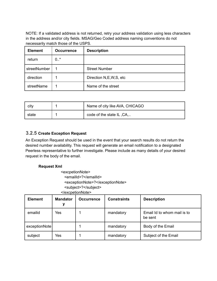NOTE: If a validated address is not returned, retry your address validation using less characters in the address and/or city fields. MSAG/Geo Coded address naming conventions do not necessarily match those of the USPS.

| <b>Element</b> | <b>Occurrence</b> | <b>Description</b>        |
|----------------|-------------------|---------------------------|
| return         | 0.7               |                           |
| streetNumber   |                   | <b>Street Number</b>      |
| direction      | 1                 | Direction N, E, W, S, etc |
| streetName     |                   | Name of the street        |

| city  | Name of city like AVA, CHICAGO |
|-------|--------------------------------|
| state | code of the state IL, CA,      |

# **3.2.5 Create Exception Request**

An Exception Request should be used in the event that your search results do not return the desired number availability. This request will generate an email notification to a designated Peerless representative to further investigate. Please include as many details of your desired request in the body of the email.

#### **Request Xml**

<excpetionNote> <emailId>?</emailId> <exceptionNote>?</exceptionNote> <subject>?</subject>

| <b>Element</b> | <b>Mandator</b><br>у | <b>Occurrence</b> | <b>Constraints</b> | <b>Description</b>                     |
|----------------|----------------------|-------------------|--------------------|----------------------------------------|
| emailid        | Yes                  |                   | mandatory          | Email Id to whom mail is to<br>be sent |
| exceptionNote  |                      |                   | mandatory          | Body of the Email                      |
| subject        | Yes                  |                   | mandatory          | Subject of the Email                   |

</excpetionNote>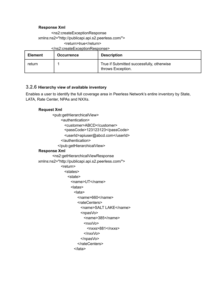#### **Response Xml**

<ns2:createExceptionResponse xmlns:ns2="http://publicapi.api.s2.peerless.com/"> <return>true</return> </ns2:createExceptionResponse>

| <b>Element</b> | <b>Occurrence</b> | <b>Description</b>                                             |
|----------------|-------------------|----------------------------------------------------------------|
| return         |                   | True if Submitted successfully, otherwise<br>throws Exception. |

# **3.2.6 Hierarchy view of available inventory**

Enables a user to identify the full coverage area in Peerless Network's entire inventory by State, LATA, Rate Center, NPAs and NXXs.

#### **Request Xml**

<pub:getHierarchicalView> <authentication> <customer>ABCD</customer> <passCode>123123123</passCode> <userId>apiuser@abcd.com</userId> </authentication> </pub:getHierarchicalView> **Response Xml** <ns2:getHierarchicalViewResponse xmlns:ns2="http://publicapi.api.s2.peerless.com/"> <return> <states> <state> <name>UT</name> <latas> <lata> <name>660</name> <rateCenters> <name>SALT LAKE</name> <npasVo> <name>385</name> <nxxVo> <nxxs>881</nxxs> </nxxVo> </npasVo> </rateCenters> </lata>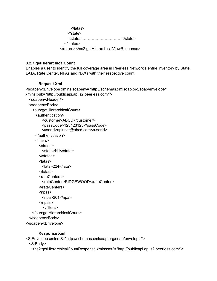</latas> </state> <state> …………………………</state> </states> </return></ns2:getHierarchicalViewResponse>

#### **3.2.7 getHierarchicalCount**

Enables a user to identify the full coverage area in Peerless Network's entire inventory by State, LATA, Rate Center, NPAs and NXXs with their respective count.

#### **Request Xml**

```
<soapenv:Envelope xmlns:soapenv="http://schemas.xmlsoap.org/soap/envelope/"
xmlns:pub="http://publicapi.api.s2.peerless.com/">
  <soapenv:Header/>
  <soapenv:Body>
   <pub:getHierarchicalCount>
     <authentication>
         <customer>ABCD</customer>
         <passCode>123123123</passCode>
         <userId>apiuser@abcd.com</userId>
     </authentication>
     <filters>
       <states>
         <state>NJ</state>
       </states>
       <latas>
         <lata>224</lata>
       </latas>
       <rateCenters>
         <rateCenter>RIDGEWOOD</rateCenter>
       </rateCenters>
       <sub>n</sub>npas></sub>
         <npa>201</npa>
       </npas>
         </filters>
   </pub:getHierarchicalCount>
  </soapenv:Body>
</soapenv:Envelope>
```
## **Response Xml**

<S:Envelope xmlns:S="http://schemas.xmlsoap.org/soap/envelope/"> <S:Body> <ns2:getHierarchicalCountResponse xmlns:ns2="http://publicapi.api.s2.peerless.com/">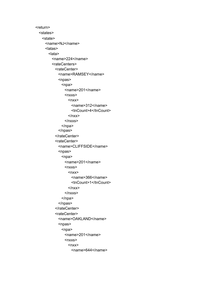<return> <states> <state> <name>NJ</name> <latas> <lata> <name>224</name> <rateCenters> <rateCenter> <name>RAMSEY</name> <npas> <npa> <name>201</name>  $<sub>nxxs</sub>$ </sub>  $<sub>nxx</sub>$ </sub> <name>312</name> <tnCount>4</tnCount>  $xx $>$$ </nxxs> </npa> </npas> </rateCenter> <rateCenter> <name>CLIFFSIDE</name> <npas> <npa> <name>201</name>  $<sub>nxxs</sub>$ </sub>  $<sub>nxx</sub>$ </sub> <name>366</name> <tnCount>1</tnCount>  $<$ /nxx $>$ </nxxs> </npa> </npas> </rateCenter> <rateCenter> <name>OAKLAND</name> <npas> <npa> <name>201</name>  $<sub>nxxs</sub>$ </sub>  $<sub>nxx</sub>$ </sub> <name>644</name>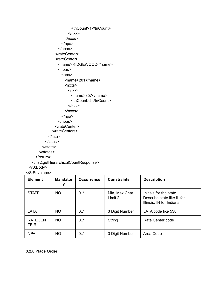<tnCount>1</tnCount>  $$x$$  $<$ /nxxs $>$ </npa> </npas> </rateCenter> <rateCenter> <name>RIDGEWOOD</name> <npas>  $<sub>npa</sub>$ </sub> <name>201</name>  $<sub>nxxs</sub>$ </sub>  $<sub>nxx</sub>$ </sub> <name>857</name> <tnCount>2</tnCount>  $$x$$  $<$ /nxxs $>$ </npa> </npas> </rateCenter> </rateCenters> </lata> </latas> </state> </states> </return> </ns2:getHierarchicalCountResponse> </S:Body> </S:Envelope>

**Element Mandator y Occurrence** | Constraints | Description STATE | NO | 0.<sup>\*</sup> | Min, Max Char Limit 2 Initials for the state. Describe state like IL for Illinois, IN for Indiana LATA | NO | 0.<sup>\*</sup> | 3 Digit Number | LATA code like 538, RATECEN TE R NO | 0.<sup>\*</sup> | String | Rate Center code

NPA | NO | 0.<sup>\*</sup> | 3 Digit Number | Area Code

#### **3.2.8 Place Order**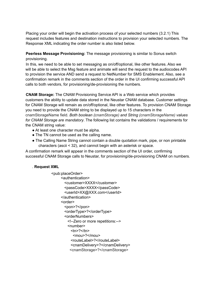Placing your order will begin the activation process of your selected numbers (3.2.1) This request includes features and destination instructions to provision your selected numbers. The Response XML indicating the order number is also listed below.

#### **Peerless Message Provisioning:** The message provisioning is similar to Sonus switch provisioning.

In this, we need to be able to set messaging as on/off/optional, like other features. Also we will be able to select the Msg feature and animate will send the request to the audiocodes API to provision the service AND send a request to NetNumber for SMS Enablement. Also, see a confirmation remark in the comments section of the order in the UI confirming successful API calls to both vendors, for provisioning/de-provisioning the numbers.

**CNAM Storage:** The CNAM Provisioning Service API is a Web service which provides customers the ability to update data stored in the Neustar CNAM database. Customer settings for CNAM Storage will remain as on/off/optional, like other features. To provision CNAM Storage you need to provide the CNAM string to be displayed up to 15 characters in the cnamStorageName field. *Both boolean (cnamStorage) and String (cnamStorageName) values for CNAM Storage are mandatory*. The following list contains the validations / requirements for the CNAM string value:

- At least one character must be alpha.
- The TN cannot be used as the calling name.
- The Calling Name String cannot contain a double quotation mark, pipe, or non printable characters (ascii < 32), and cannot begin with an asterisk or space.

A confirmation remark will appear in the comments section of the UI order, confirming successful CNAM Storage calls to Neustar, for provisioning/de-provisioning CNAM on numbers.

## . **Request XML**

```
<pub:placeOrder>
     <authentication>
       <customer>XXXX</customer>
       <passCode>XXXX</passCode>
       <userId>XX@XXX.com</userId>
     </authentication>
     <order>
       <pon>?</pon>
       <orderType>?</orderType>
       <orderNumbers>
        <!--Zero or more repetitions:-->
        <number>
          <sub>th</sub>>2<sub>th</sub></sub>
           <mou>?</mou>
          <routeLabel>?</routeLabel>
          <cnamDelivery>?</cnamDelivery>
          <cnamStorage>?</cnamStorage>
```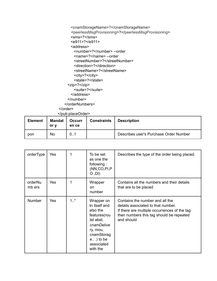<cnamStorageName>?</cnamStorageName> <peerlessMsgProvisioning>?</peerlessMsgProvisioning> <sms>?</sms> <e911>?</e911> <address> <number>?</number> --order <name>?</name> --order <streetNumber>?</streetNumber> <direction>?</direction> <streetName>?</streetName> <city>?</city> <state>?</state> <zip>?</zip> <suite>?</suite> </address> </number> </orderNumbers> </order> </pub:placeOrder>

| <b>Element</b> | <b>Mandat</b><br>or v | <b>Occurr</b><br>en ce | <b>Constraints</b> | <b>Description</b>                     |
|----------------|-----------------------|------------------------|--------------------|----------------------------------------|
| pon            | No                    | 01                     |                    | Describes user's Purchase Order Number |

| orderType         | Yes | 1       | To be set<br>as one the<br>following:<br>(NN,CO,PI,P<br>$O$ , $O$                                                                                     | Describes the type of the order being placed.                                                                                                                                   |
|-------------------|-----|---------|-------------------------------------------------------------------------------------------------------------------------------------------------------|---------------------------------------------------------------------------------------------------------------------------------------------------------------------------------|
| orderNu<br>mb ers | Yes | 1       | Wrapper<br>on<br>number                                                                                                                               | Contains all the numbers and their details<br>that are to be placed                                                                                                             |
| Number            | Yes | $1.1$ * | Wrapper on<br>tn itself and<br>also the<br>features(rou<br>tel abel,<br>cnamDelive<br>ry, mou,<br>cnamStorag<br>$e$ ) to be<br>associated<br>with the | Contains the number and all the<br>details associated to that number.<br>If there are multiple occurrences of the tag<br>then numbers this tag should be repeated<br>and should |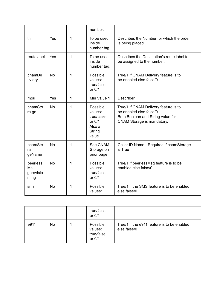|                                      |           |   | number.                                                                     |                                                                                                                                      |
|--------------------------------------|-----------|---|-----------------------------------------------------------------------------|--------------------------------------------------------------------------------------------------------------------------------------|
| tn                                   | Yes       | 1 | To be used<br>inside<br>number tag.                                         | Describes the Number for which the order<br>is being placed                                                                          |
| routelabel                           | Yes       | 1 | To be used<br>inside<br>number tag.                                         | Describes the Destination's route label to<br>be assigned to the number.                                                             |
| cnamDe<br>liv ery                    | <b>No</b> | 1 | Possible<br>values:<br>true/false<br>or 0/1                                 | True/1 if CNAM Delivery feature is to<br>be enabled else false/0                                                                     |
| mou                                  | Yes       | 1 | Min Value 1                                                                 | <b>Describer</b>                                                                                                                     |
| cnamSto<br>ra ge                     | <b>No</b> | 1 | Possible<br>values:<br>true/false<br>or $0/1$<br>Also a<br>String<br>value. | True/1 if CNAM Delivery feature is to<br>be enabled else false/0.<br>Both Boolean and String value for<br>CNAM Storage is mandatory. |
| cnamSto<br>ra<br>geName              | <b>No</b> | 1 | See CNAM<br>Storage on<br>prior page                                        | Caller ID Name - Required if cnamStorage<br>is True                                                                                  |
| peerless<br>Ms<br>gprovisio<br>ni ng | <b>No</b> | 1 | Possible<br>values:<br>true/false<br>or 0/1                                 | True/1 if peerlessMsg feature is to be<br>enabled else false/0                                                                       |
| sms                                  | <b>No</b> | 1 | Possible<br>values:                                                         | True/1 if the SMS feature is to be enabled<br>else false/0                                                                           |

|      |     | true/false<br>or 0/1                        |                                                             |
|------|-----|---------------------------------------------|-------------------------------------------------------------|
| e911 | No. | Possible<br>values:<br>true/false<br>or 0/1 | True/1 if the e911 feature is to be enabled<br>else false/0 |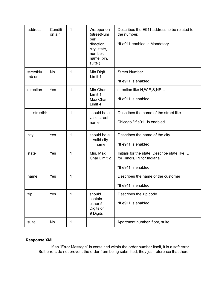| address           | Conditi<br>on al* | 1 | Wrapper on<br>(streetNum<br>ber,<br>direction,<br>city, state,<br>number,<br>name, pin,<br>suite) | Describes the E911 address to be related to<br>the number.<br>*If e911 enabled is Mandatory           |
|-------------------|-------------------|---|---------------------------------------------------------------------------------------------------|-------------------------------------------------------------------------------------------------------|
| streetNu<br>mb er | <b>No</b>         | 1 | Min Digit<br>Limit 1                                                                              | <b>Street Number</b><br>*If e911 is enabled                                                           |
| direction         | Yes               | 1 | Min Char<br>Limit 1<br>Max Char<br>Limit 4                                                        | direction like N, W, E, S, NE<br>*If e911 is enabled                                                  |
| <b>streetNa</b>   |                   | 1 | should be a<br>valid street<br>name                                                               | Describes the name of the street like<br>Chicago *If e911 is enabled                                  |
| city              | Yes               | 1 | should be a<br>valid city<br>name                                                                 | Describes the name of the city<br>*If e911 is enabled                                                 |
| state             | Yes               | 1 | Min, Max<br>Char Limit 2                                                                          | Initials for the state. Describe state like IL<br>for Illinois, IN for Indiana<br>*If e911 is enabled |
| name              | Yes               | 1 |                                                                                                   | Describes the name of the customer<br>*If e911 is enabled                                             |
| zip               | Yes               | 1 | should<br>contain<br>either 5<br>Digits or<br>9 Digits                                            | Describes the zip code<br>*If e911 is enabled                                                         |
| suite             | No                | 1 |                                                                                                   | Apartment number, floor, suite                                                                        |

# **Response XML**

If an "Error Message" is contained within the order number itself, it is a soft error. Soft errors do not prevent the order from being submitted, they just reference that there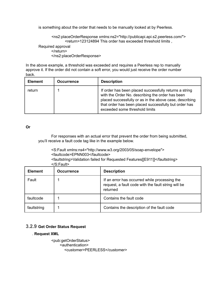is something about the order that needs to be manually looked at by Peerless.

<ns2:placeOrderResponse xmlns:ns2="http://publicapi.api.s2.peerless.com/"> <return>123124894 This order has exceeded threshold limits ,

Required approval </return> </ns2:placeOrderResponse>

In the above example, a threshold was exceeded and requires a Peerless rep to manually approve it. If the order did not contain a soft error, you would just receive the order number back.

| <b>Element</b> | <b>Occurrence</b> | <b>Description</b>                                                                                                                                                                                                                                               |
|----------------|-------------------|------------------------------------------------------------------------------------------------------------------------------------------------------------------------------------------------------------------------------------------------------------------|
| return         |                   | If order has been placed successfully returns a string<br>with the Order No. describing the order has been<br>placed successfully or as in the above case, describing<br>that order has been placed successfully but order has<br>exceeded some threshold limits |

#### **Or**

For responses with an actual error that prevent the order from being submitted, you'll receive a fault code tag like in the example below.

<S:Fault xmlns:ns4="http://www.w3.org/2003/05/soap-envelope"> <faultcode>EPNN003</faultcode> <faultstring>Validation failed for Requested Features[[E911]]</faultstring>

| <b>Element</b> | <b>Occurrence</b> | <b>Description</b>                                                                                               |
|----------------|-------------------|------------------------------------------------------------------------------------------------------------------|
| Fault          |                   | If an error has occurred while processing the<br>request, a fault code with the fault string will be<br>returned |
| faultcode      |                   | Contains the fault code                                                                                          |
| faultstring    |                   | Contains the description of the fault code                                                                       |

## **3.2.9 Get Order Status Request**

#### . **Request XML**

<pub:getOrderStatus> <authentication> <customer>PEERLESS</customer>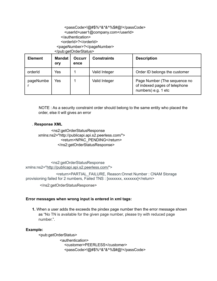# <passCode>!@#\$%^&\*&^%\$#@!</passCode> <userId>user1@company.com</userId> </authentication> <orderId>?</orderId> <pageNumber>?</pageNumber>

</pub:getOrderStatus>

| <b>Element</b> | <b>Mandat</b><br>ory | <b>Occurr</b><br>ence | <b>Constraints</b> | <b>Description</b>                                                                   |
|----------------|----------------------|-----------------------|--------------------|--------------------------------------------------------------------------------------|
| orderId        | Yes                  |                       | Valid Integer      | Order ID belongs the customer                                                        |
| pageNumbe      | Yes                  |                       | Valid Integer      | Page Number (The sequence no<br>of indexed pages of telephone<br>numbers) e.g. 1 etc |

NOTE : As a security constraint order should belong to the same entity who placed the order, else it will gives an error

#### . **Response XML**

<ns2:getOrderStatusResponse xmlns:ns2="http://publicapi.api.s2.peerless.com/"> <return>NPAC\_PENDING</return> </ns2:getOrderStatusResponse>

<ns2:getOrderStatusResponse xmlns:ns2="http://publicapi.api.s2.peerless.com/">

<return>PARTIAL\_FAILURE, Reason:Onnet Number : CNAM Storage provisioning failed for 2 numbers, Failed TNS : [xxxxxxx, xxxxxxx]</return>

</ns2:getOrderStatusResponse>

#### **Error messages when wrong input is entered in xml tags:**

**1.** When a user adds the exceeds the pindex page number then the error message shown as "No TN is available for the given page number, please try with reduced page number.".

#### **Example:**

<pub:getOrderStatus> <authentication> <customer>PEERLESS</customer> <passCode>!@#\$%^&\*&^%\$#@!</passCode>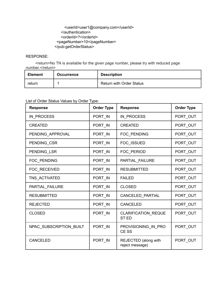## <userId>user1@company.com</userId> </authentication> <orderId>?</orderId> <pageNumber>10</pageNumber> </pub:getOrderStatus>

#### RESPONSE:

<return>No TN is available for the given page number, please try with reduced page number.</return>

| <b>Element</b> | <b>Occurrence</b> | <b>Description</b>              |
|----------------|-------------------|---------------------------------|
| return         |                   | <b>Return with Order Status</b> |

# List of Order Status Values by Order Type:

| <b>Response</b>         | <b>Order Type</b> | <b>Response</b>                           | <b>Order Type</b> |
|-------------------------|-------------------|-------------------------------------------|-------------------|
| IN PROCESS              | PORT_IN           | IN PROCESS                                | PORT_OUT          |
| <b>CREATED</b>          | PORT IN           | <b>CREATED</b>                            | PORT_OUT          |
| PENDING_APPROVAL        | PORT IN           | FOC PENDING                               | PORT_OUT          |
| PENDING_CSR             | PORT_IN           | FOC_ISSUED                                | PORT_OUT          |
| PENDING_LSR             | PORT_IN           | FOC_PERIOD                                | PORT_OUT          |
| FOC_PENDING             | PORT_IN           | PARTIAL_FAILURE                           | PORT_OUT          |
| FOC_RECEIVED            | PORT IN           | <b>RESUBMITTED</b>                        | PORT_OUT          |
| TNS_ACTIVATED           | PORT_IN           | <b>FAILED</b>                             | PORT_OUT          |
| PARTIAL_FAILURE         | PORT IN           | <b>CLOSED</b>                             | PORT_OUT          |
| <b>RESUBMITTED</b>      | PORT IN           | CANCELED_PARTIAL                          | PORT OUT          |
| <b>REJECTED</b>         | PORT_IN           | <b>CANCELED</b>                           | PORT OUT          |
| <b>CLOSED</b>           | PORT_IN           | <b>CLARIFICATION REQUE</b><br><b>STED</b> | PORT_OUT          |
| NPAC_SUBSCRIPTION_BUILT | PORT IN           | PROVISIONING_IN_PRO<br>CE SS              | PORT_OUT          |
| <b>CANCELED</b>         | PORT IN           | REJECTED (along with<br>reject message)   | PORT_OUT          |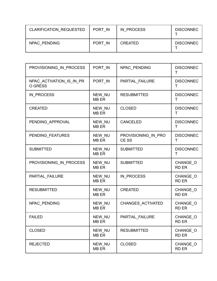| <b>CLARIFICATION REQUESTED</b> | PORT IN | IN PROCESS     | <b>DISCONNEC</b> |
|--------------------------------|---------|----------------|------------------|
| NPAC PENDING                   | PORT IN | <b>CREATED</b> | <b>DISCONNEC</b> |

| PROVISIONING_IN_PROCESS             | PORT_IN                | NPAC PENDING                 | <b>DISCONNEC</b><br>т    |
|-------------------------------------|------------------------|------------------------------|--------------------------|
| NPAC_ACTIVATION_IS_IN_PR<br>O GRESS | PORT IN                | PARTIAL FAILURE              | <b>DISCONNEC</b><br>т    |
| IN_PROCESS                          | NEW_NU<br><b>MB ER</b> | <b>RESUBMITTED</b>           | <b>DISCONNEC</b><br>т    |
| <b>CREATED</b>                      | NEW_NU<br><b>MB ER</b> | <b>CLOSED</b>                | <b>DISCONNEC</b><br>Τ    |
| PENDING_APPROVAL                    | NEW_NU<br><b>MB ER</b> | <b>CANCELED</b>              | <b>DISCONNEC</b><br>T    |
| PENDING_FEATURES                    | NEW NU<br><b>MB ER</b> | PROVISIONING_IN_PRO<br>CE SS | <b>DISCONNEC</b><br>Τ    |
| <b>SUBMITTED</b>                    | NEW NU<br><b>MB ER</b> | <b>SUBMITTED</b>             | <b>DISCONNEC</b><br>т    |
| PROVISIONING IN PROCESS             | NEW NU<br><b>MB ER</b> | <b>SUBMITTED</b>             | CHANGE_O<br><b>RD ER</b> |
| PARTIAL_FAILURE                     | NEW NU<br><b>MB ER</b> | IN PROCESS                   | CHANGE O<br><b>RD ER</b> |
| <b>RESUBMITTED</b>                  | NEW NU<br><b>MB ER</b> | <b>CREATED</b>               | CHANGE_O<br><b>RD ER</b> |
| NPAC_PENDING                        | NEW_NU<br><b>MB ER</b> | CHANGES_ACTIVATED            | CHANGE O<br><b>RD ER</b> |
| <b>FAILED</b>                       | NEW_NU<br>MB ER        | PARTIAL_FAILURE              | CHANGE_O<br>RD ER        |
| <b>CLOSED</b>                       | NEW_NU<br>MB ER        | <b>RESUBMITTED</b>           | CHANGE O<br>RD ER        |
| <b>REJECTED</b>                     | NEW_NU<br>MB ER        | <b>CLOSED</b>                | CHANGE_O<br><b>RD ER</b> |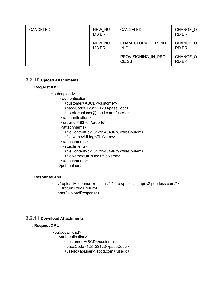| <b>CANCELED</b> | NEW NU<br><b>MB ER</b> | <b>CANCELED</b>              | CHANGE O<br><b>RD ER</b> |
|-----------------|------------------------|------------------------------|--------------------------|
|                 | NEW NU<br><b>MB ER</b> | CNAM STORAGE PEND<br>IN G    | CHANGE O<br><b>RD ER</b> |
|                 |                        | PROVISIONING IN PRO<br>CE SS | CHANGE O<br><b>RD ER</b> |

# **3.2.10 Upload Attachments**

#### . **Request XML**

<pub:upload> <authentication> <customer>ABCD</customer> <passCode>123123123</passCode> <userId>apiuser@abcd.com</userId> </authentication> <orderId>18376</orderId> <attachments> <fileContent>cid:312194349678</fileContent> <fileName>UI.log</fileName> </attachments> <attachments> <fileContent>cid:312194349679</fileContent> <fileName>UIErr.log</fileName> </attachments> </pub:upload>

#### **. Response XML**

<ns2:uploadResponse xmlns:ns2="http://publicapi.api.s2.peerless.com/"> <return>true</return> </ns2:uploadResponse>

# **3.2.11 Download Attachments**

#### . **Request XML**

<pub:download> <authentication> <customer>ABCD</customer> <passCode>123123123</passCode> <userId>apiuser@abcd.com</userId>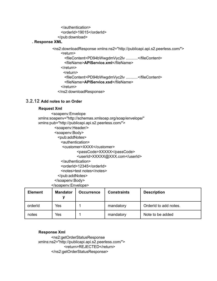</authentication> <orderId>19015</orderId> </pub:download>

#### **. Response XML**

<ns2:downloadResponse xmlns:ns2="http://publicapi.api.s2.peerless.com/"> <return> <fileContent>PD94bWwgdmVyc2lv ...........</fileContent> <fileName>**APIService.xml**</fileName> </return> <return> <fileContent>PD94bWwgdmVyc2lv ...........</fileContent> <fileName>**APIService.xsd**</fileName> </return> </ns2:downloadResponse>

# **3.2.12 Add notes to an Order**

#### **Request Xml**

<soapenv:Envelope xmlns:soapenv="http://schemas.xmlsoap.org/soap/envelope/" xmlns:pub="http://publicapi.api.s2.peerless.com/"> <soapenv:Header/> <soapenv:Body> <pub:addNotes> <authentication> <customer>XXXX</customer> <passCode>XXXXX</passCode> <userId>XXXXX@XXX.com</userId> </authentication> <orderId>12345</orderId> <notes>test notes</notes> </pub:addNotes> </soapenv:Body> </soapenv:Envelope>

| <b>Element</b> | <b>Mandator</b> | <b>Occurrence</b> | <b>Constraints</b> | <b>Description</b>    |
|----------------|-----------------|-------------------|--------------------|-----------------------|
| orderId        | Yes             |                   | mandatory          | Orderld to add notes. |
| notes          | Yes             |                   | mandatory          | Note to be added      |

**Response Xml**

<ns2:getOrderStatusResponse xmlns:ns2="http://publicapi.api.s2.peerless.com/"> <return>REJECTED</return> </ns2:getOrderStatusResponse>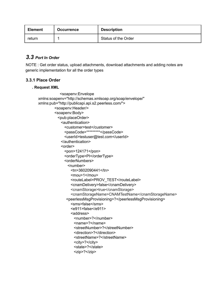| <b>Element</b> | <b>Occurrence</b> | <b>Description</b>  |
|----------------|-------------------|---------------------|
| return         |                   | Status of the Order |

# *3.3 Port In Order*

NOTE : Get order status, upload attachments, download attachments and adding notes are generic implementation for all the order types

# **3.3.1 Place Order**

## **. Request XML**

<soapenv:Envelope xmlns:soapenv="http://schemas.xmlsoap.org/soap/envelope/" xmlns:pub="http://publicapi.api.s2.peerless.com/"> <soapenv:Header/> <soapenv:Body> <pub:placeOrder> <authentication> <customer>test</customer> <passCode>\*\*\*\*\*\*\*\*\*</passCode> <userId>testuser@test.com</userId> </authentication> <order> <pon>124171</pon> <orderType>PI</orderType> <orderNumbers> <number> <tn>3602090441</tn> <mou>1</mou> <routeLabel>PROV\_TEST</routeLabel> <cnamDelivery>false</cnamDelivery> <cnamStorage>true</cnamStorage> <cnamStorageName>CNAMTestName</cnamStorageName> <peerlessMsgProvisioning>?</peerlessMsgProvisioning> <sms>false</sms> <e911>false</e911> <address> <number>?</number> <name>?</name> <streetNumber>?</streetNumber> <direction>?</direction> <streetName>?</streetName> <city>?</city> <state>?</state> <zip>?</zip>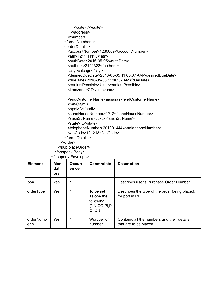<suite>?</suite> </address> </number> </orderNumbers> <orderDetails> <accountNumber>1230009</accountNumber> <atn>1211111113</atn> <authDate>2016-05-05</authDate> <authnm>2121323</authnm> <city>chicago</city> <desiredDueDate>2016-05-05 11:06:37 AM</desiredDueDate> <dueDate>2016-05-05 11:06:37 AM</dueDate> <earliestPossible>false</earliestPossible> <timezone>CT</timezone>

<endCustomerName>aasasas</endCustomerName> <mi>C</mi>

<npdi>D</npdi> <sanoHouseNumber>1212</sanoHouseNumber> <sasnStrName>ccxcx</sasnStrName>

- <state>IL</state>
- <telephoneNumber>2013014444</telephoneNumber>
- <zipCode>121213</zipCode>
- </orderDetails>
- </order>

</pub:placeOrder>

</soapenv:Body>

|--|

| <b>Element</b>    | Man<br>dat<br>ory | <b>Occurr</b><br>en ce | <b>Constraints</b>                                                       | <b>Description</b>                                                  |
|-------------------|-------------------|------------------------|--------------------------------------------------------------------------|---------------------------------------------------------------------|
| pon               | <b>Yes</b>        |                        |                                                                          | Describes user's Purchase Order Number                              |
| orderType         | Yes               |                        | To be set<br>as one the<br>following:<br>(NN, CO, PI, P)<br>$O$ , $DI$ ) | Describes the type of the order being placed.<br>for port in PI     |
| orderNumb<br>er s | <b>Yes</b>        |                        | Wrapper on<br>number                                                     | Contains all the numbers and their details<br>that are to be placed |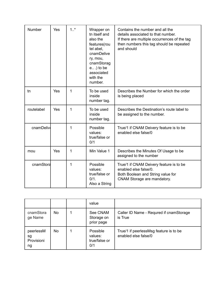| Number     | Yes | $1.1$ * | Wrapper on<br>tn itself and<br>also the<br>features(rou<br>tel abel,<br>cnamDelive<br>ry, mou,<br>cnamStorag<br>$e$ ) to be<br>associated<br>with the<br>number. | Contains the number and all the<br>details associated to that number.<br>If there are multiple occurrences of the tag<br>then numbers this tag should be repeated<br>and should |
|------------|-----|---------|------------------------------------------------------------------------------------------------------------------------------------------------------------------|---------------------------------------------------------------------------------------------------------------------------------------------------------------------------------|
| tn         | Yes | 1       | To be used<br>inside<br>number tag.                                                                                                                              | Describes the Number for which the order<br>is being placed                                                                                                                     |
| routelabel | Yes | 1       | To be used<br>inside<br>number tag.                                                                                                                              | Describes the Destination's route label to<br>be assigned to the number.                                                                                                        |
| cnamDelive |     | 1       | Possible<br>values:<br>true/false or<br>0/1                                                                                                                      | True/1 if CNAM Deivery feature is to be<br>enabled else false/0                                                                                                                 |
| mou        | Yes | 1       | Min Value 1                                                                                                                                                      | Describes the Minutes Of Usage to be<br>assigned to the number                                                                                                                  |
| cnamStora  |     | 1       | Possible<br>values:<br>true/false or<br>0/1.<br>Also a String                                                                                                    | True/1 if CNAM Deivery feature is to be<br>enabled else false/0.<br>Both Boolean and String value for<br>CNAM Storage are mandatory.                                            |

|                                     |           | value                                       |                                                                |
|-------------------------------------|-----------|---------------------------------------------|----------------------------------------------------------------|
| cnamStora<br>ge Name                | <b>No</b> | See CNAM<br>Storage on<br>prior page        | Caller ID Name - Requred if cnamStorage<br>is True             |
| peerlessM<br>sg<br>Provisioni<br>ng | No        | Possible<br>values:<br>true/false or<br>0/1 | True/1 if peerlessMsg feature is to be<br>enabled else false/0 |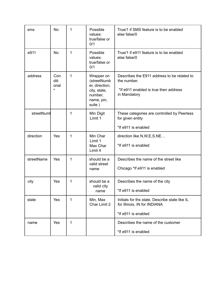| sms        | <b>No</b>                      | 1 | Possible<br>values:<br>true/false or<br>0/1                                                    | True/1 if SMS feature is to be enabled<br>else false/0                                                              |
|------------|--------------------------------|---|------------------------------------------------------------------------------------------------|---------------------------------------------------------------------------------------------------------------------|
| e911       | <b>No</b>                      | 1 | Possible<br>values:<br>true/false or<br>0/1                                                    | True/1 if e911 feature is to be enabled<br>else false/0                                                             |
| address    | Con<br>diti<br>onal<br>$\star$ | 1 | Wrapper on<br>(streetNumb<br>er, direction,<br>city, state,<br>number,<br>name, pin,<br>suite) | Describes the E911 address to be related to<br>the number.<br>*If e911 enabled is true then address<br>in Mandatory |
| streetNuml |                                | 1 | Min Digit<br>Limit 1                                                                           | These categories are controlled by Peerless<br>for given entity                                                     |
|            |                                |   |                                                                                                | *If e911 is enabled                                                                                                 |
| direction  | Yes                            | 1 | Min Char<br>Limit 1<br>Max Char<br>Limit 4                                                     | direction like N, W, E, S, NE<br>*If e911 is enabled                                                                |
| streetName | Yes                            | 1 | should be a                                                                                    | Describes the name of the street like                                                                               |
|            |                                |   | valid street<br>name                                                                           | Chicago *If e911 is enabled                                                                                         |
| city       | Yes                            | 1 | should be a                                                                                    | Describes the name of the city                                                                                      |
|            |                                |   | valid city<br>name                                                                             | *If e911 is enabled                                                                                                 |
| state      | Yes                            | 1 | Min, Max<br>Char Limit 2                                                                       | Initials for ths state. Describe state like IL<br>for Illinois, IN for INDIANA                                      |
|            |                                |   |                                                                                                | *If e911 is enabled                                                                                                 |
| name       | Yes                            | 1 |                                                                                                | Describes the name of the customer                                                                                  |
|            |                                |   |                                                                                                | *If e911 is enabled                                                                                                 |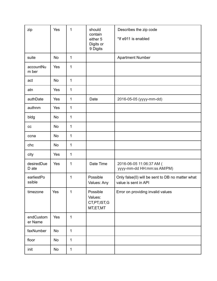| zip                  | Yes       | 1            | should<br>contain<br>either 5<br>Digits or<br>9 Digits | Describes the zip code<br>*If e911 is enabled                           |
|----------------------|-----------|--------------|--------------------------------------------------------|-------------------------------------------------------------------------|
| suite                | <b>No</b> | $\mathbf 1$  |                                                        | <b>Apartment Number</b>                                                 |
| accountNu<br>m ber   | Yes       | 1            |                                                        |                                                                         |
| act                  | <b>No</b> | $\mathbf 1$  |                                                        |                                                                         |
| atn                  | Yes       | $\mathbf 1$  |                                                        |                                                                         |
| authDate             | Yes       | $\mathbf 1$  | Date                                                   | 2016-05-05 (yyyy-mm-dd)                                                 |
| authnm               | Yes       | $\mathbf 1$  |                                                        |                                                                         |
| bldg                 | <b>No</b> | $\mathbf 1$  |                                                        |                                                                         |
| cc                   | No        | $\mathbf 1$  |                                                        |                                                                         |
| ccna                 | <b>No</b> | $\mathbf 1$  |                                                        |                                                                         |
| chc                  | No        | $\mathbf 1$  |                                                        |                                                                         |
| city                 | Yes       | $\mathbf 1$  |                                                        |                                                                         |
| desiredDue<br>D ate  | Yes       | 1            | Date Time                                              | 2016-06-05 11:06:37 AM (<br>yyyy-mm-dd HH:mm:ss AM/PM)                  |
| earliestPo<br>ssible |           | 1            | Possible<br>Values: Any                                | Only false(0) will be sent to DB no matter what<br>value is sent in API |
| timezone             | Yes       | 1            | Possible<br>Values:<br>CT, PT, IST, G<br>MT,ET,MT      | Error on providing invalid values                                       |
| endCustom<br>er Name | Yes       | $\mathbf{1}$ |                                                        |                                                                         |
| faxNumber            | No        | $\mathbf 1$  |                                                        |                                                                         |
| floor                | No        | $\mathbf 1$  |                                                        |                                                                         |
| init                 | No        | $\mathbf 1$  |                                                        |                                                                         |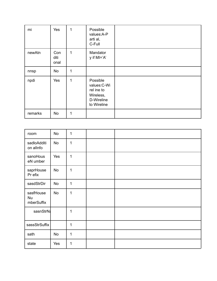| mi      | Yes                 | $\mathbf{1}$ | Possible<br>values:A-P<br>arti al,<br>C-Full                                     |  |
|---------|---------------------|--------------|----------------------------------------------------------------------------------|--|
| newAtn  | Con<br>diti<br>onal | 1            | Mandator<br>y if $MI='A'$                                                        |  |
| nnsp    | No                  | 1            |                                                                                  |  |
| npdi    | Yes                 | 1            | Possible<br>values: C-Wi<br>rel ine to<br>Wireless,<br>D-Wireline<br>to Wireline |  |
| remarks | <b>No</b>           | 1            |                                                                                  |  |

| room                          | No  | $\mathbf 1$  |  |
|-------------------------------|-----|--------------|--|
| sadloAdditi<br>on allnfo      | No  | 1            |  |
| sanoHous<br>eN umber          | Yes | 1            |  |
| saprHouse<br>Pr efix          | No  | $\mathbf 1$  |  |
| sasdStrDir                    | No  | 1            |  |
| sasfHouse<br>Nu<br>mberSuffix | No  | $\mathbf{1}$ |  |
| sasnStrN                      |     | 1            |  |
| sassStrSuffix                 |     | 1            |  |
| sath                          | No  | $\mathbf{1}$ |  |
| state                         | Yes | 1            |  |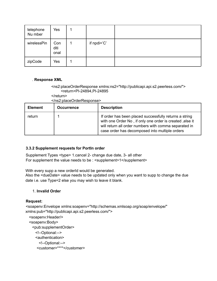| telephone<br>Nu mber | Yes                 |             |  |
|----------------------|---------------------|-------------|--|
| wirelessPin          | Con<br>diti<br>onal | if npdi='C' |  |
| zipCode              | Yes                 |             |  |

## . **Response XML**

#### <ns2:placeOrderResponse xmlns:ns2="http://publicapi.api.s2.peerless.com/"> <return>PI-24894,PI-24895

</return>

</ns2:placeOrderResponse>

| <b>Element</b> | <b>Occurrence</b> | <b>Description</b>                                                                                                                                                                                                            |
|----------------|-------------------|-------------------------------------------------------------------------------------------------------------------------------------------------------------------------------------------------------------------------------|
| return         |                   | If order has been placed successfully returns a string<br>with one Order No, if only one order is created, else it<br>will return all order numbers with comma separated in<br>case order has decomposed into multiple orders |

## **3.3.2 Supplement requests for PortIn order**

Supplement Types <type> 1.cancel 2- change due date, 3- all other For supplement the value needs to be : <supplement>1</supplement>

With every supp a new orderId would be generated.

Also the <dueDate> value needs to be updated only when you want to supp to change the due date i.e. use Type=2 else you may wish to leave it blank.

#### 1. **Invalid Order**

#### **Request:**

<soapenv:Envelope xmlns:soapenv="http://schemas.xmlsoap.org/soap/envelope/" xmlns:pub="http://publicapi.api.s2.peerless.com/"> <soapenv:Header/> <soapenv:Body>

<pub:supplementOrder> <!--Optional:--> <authentication> <!--Optional:--> <customer>\*\*\*\*</customer>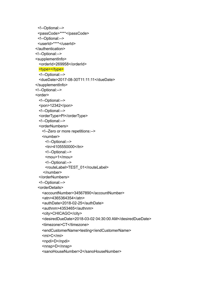```
<!--Optional:-->
 <passCode>****</passCode>
 <!--Optional:-->
 <userId>****</userId>
</authentication>
<!--Optional:-->
<supplementInfo>
 <orderId>269958</orderId>
 <type></type>
 <!--Optional:-->
 <dueDate>2017-08-30T11:11:11</dueDate>
</supplementInfo>
<!--Optional:-->
<order>
 <!--Optional:-->
 <pon>12342</pon>
 <!--Optional:-->
 <orderType>PI</orderType>
 <!--Optional:-->
 <orderNumbers>
   <!--Zero or more repetitions:-->
   <number>
     <!--Optional:-->
     <tn>4105550000</tn>
     <!--Optional:-->
     <mou>1</mou>
     <!--Optional:-->
     <routeLabel>TEST_01</routeLabel>
    </number>
 </orderNumbers>
 <!--Optional:-->
 <orderDetails>
   <accountNumber>34567890</accountNumber>
   <atn>4365364354</atn>
   <authDate>2018-02-25</authDate>
   <authnm>4353465</authnm>
   <city>CHICAGO</city>
   <desiredDueDate>2018-03-02 04:30:00 AM</desiredDueDate>
   <timezone>CT</timezone>
   <endCustomerName>testing</endCustomerName>
   <mi>C</mi>
   <npdi>D</npdi>
   <nnsp>D</nnsp>
   <sanoHouseNumber>2</sanoHouseNumber>
```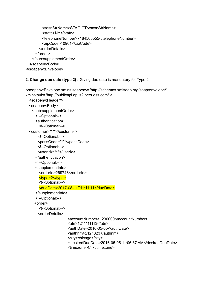```
<sasnStrName>STAG CT</sasnStrName>
        <state>NY</state>
        <telephoneNumber>7184505555</telephoneNumber>
        <zipCode>10901</zipCode>
      </orderDetails>
    </order>
   </pub:supplementOrder>
 </soapenv:Body>
</soapenv:Envelope>
```
## **2. Change due date (type 2) :** Giving due date is mandatory for Type 2

```
<soapenv:Envelope xmlns:soapenv="http://schemas.xmlsoap.org/soap/envelope/"
xmlns:pub="http://publicapi.api.s2.peerless.com/">
  <soapenv:Header/>
  <soapenv:Body>
   <pub:supplementOrder>
     <!--Optional:-->
     <authentication>
       <!--Optional:-->
  <customer>****</customer>
      <!--Optional:-->
      <passCode>****</passCode>
      <!--Optional:-->
      <userId>****</userId>
     </authentication>
     <!--Optional:-->
     <supplementInfo>
       <orderId>269748</orderId>
       <type>2</type>
       <!--Optional:-->
       <dueDate>2017-08-11T11:11:11</dueDate>
     </supplementInfo>
     <!--Optional:-->
    <order>
       <!--Optional:-->
      <orderDetails>
                      <accountNumber>1230009</accountNumber>
                      <atn>1211111113</atn>
                      <authDate>2016-05-05</authDate>
                      <authnm>2121323</authnm>
                      <city>chicago</city>
                      <desiredDueDate>2016-05-05 11:06:37 AM</desiredDueDate>
                      <timezone>CT</timezone>
```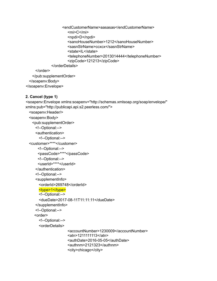<endCustomerName>aasasas</endCustomerName> <mi>C</mi> <npdi>D</npdi> <sanoHouseNumber>1212</sanoHouseNumber> <sasnStrName>ccxcx</sasnStrName> <state>IL</state> <telephoneNumber>2013014444</telephoneNumber> <zipCode>121213</zipCode> </orderDetails> </order> </pub:supplementOrder> </soapenv:Body>

</soapenv:Envelope>

## **2. Cancel (type 1)**

<soapenv:Envelope xmlns:soapenv="http://schemas.xmlsoap.org/soap/envelope/" xmlns:pub="http://publicapi.api.s2.peerless.com/"> <soapenv:Header/> <soapenv:Body> <pub:supplementOrder> <!--Optional:--> <authentication> <!--Optional:--> <customer>\*\*\*\*</customer> <!--Optional:--> <passCode>\*\*\*\*</passCode> <!--Optional:--> <userId>\*\*\*\*</userId> </authentication> <!--Optional:--> <supplementInfo> <orderId>269748</orderId> <type>1</type> <!--Optional:--> <dueDate>2017-08-11T11:11:11</dueDate> </supplementInfo> <!--Optional:--> <order> <!--Optional:--> <orderDetails> <accountNumber>1230009</accountNumber> <atn>1211111113</atn> <authDate>2016-05-05</authDate> <authnm>2121323</authnm> <city>chicago</city>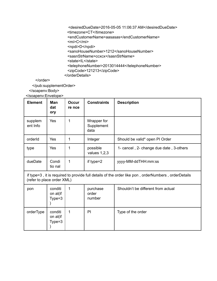<desiredDueDate>2016-05-05 11:06:37 AM</desiredDueDate> <timezone>CT</timezone> <endCustomerName>aasasas</endCustomerName> <mi>C</mi> <npdi>D</npdi> <sanoHouseNumber>1212</sanoHouseNumber> <sasnStrName>ccxcx</sasnStrName> <state>IL</state> <telephoneNumber>2013014444</telephoneNumber> <zipCode>121213</zipCode> </orderDetails>

</order>

</pub:supplementOrder>

</soapenv:Body>

</soapenv:Envelope>

| <b>Element</b>                                                                                                                    | Man<br>dat<br>ory               | Occur<br>re nce | <b>Constraints</b>                | <b>Description</b>                      |
|-----------------------------------------------------------------------------------------------------------------------------------|---------------------------------|-----------------|-----------------------------------|-----------------------------------------|
| supplem<br>ent Info                                                                                                               | <b>Yes</b>                      | 1               | Wrapper for<br>Supplement<br>data |                                         |
| orderId                                                                                                                           | <b>Yes</b>                      | 1               | Integer                           | Should be valid* open PI Order          |
| type                                                                                                                              | Yes                             | 1               | possible<br>values $1,2,3$        | 1- cancel, 2- change due date, 3-others |
| dueDate                                                                                                                           | Condi<br>tio nal                | 1               | if type=2                         | yyyy-MM-ddTHH:mm:ss                     |
| if type=3, it is required to provide full details of the order like pon, orderNumbers, orderDetails<br>(refer to place order XML) |                                 |                 |                                   |                                         |
| pon                                                                                                                               | conditi<br>on al(if<br>$Type=3$ | 1               | purchase<br>order<br>number       | Shouldn't be different from actual      |
| orderType                                                                                                                         | conditi<br>on al(if<br>$Type=3$ | 1               | PI                                | Type of the order                       |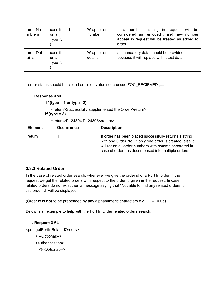| orderNu<br>mb ers | conditi<br>on al(if<br>$Type=3$ | Wrapper on<br>number  | If a number missing<br>in request will be<br>considered as removed, and new number<br>appear in request will be treated as added to<br>order |
|-------------------|---------------------------------|-----------------------|----------------------------------------------------------------------------------------------------------------------------------------------|
| orderDet<br>ail s | conditi<br>on al(if<br>$Type=3$ | Wrapper on<br>details | all mandatory data should be provided,<br>because it will replace with latest data                                                           |

**\*** order status should be closed order or status not crossed FOC\_RECIEVED ,....

#### **. Response XML**

**if (type = 1 or type =2)**

<return>Successfully supplemented the Order</return>

**if (type = 3)**

<return>PI-24894,PI-24895</return>

| <b>Element</b> | <b>Occurrence</b> | <b>Description</b>                                                                                                                                                                                                               |
|----------------|-------------------|----------------------------------------------------------------------------------------------------------------------------------------------------------------------------------------------------------------------------------|
| return         |                   | If order has been placed successfully returns a string<br>with one Order No, if only one order is created, else it<br>will return all order numbers with comma separated in<br>case of order has decomposed into multiple orders |

## **3.3.3 Related Order**

In the case of related order search, whenever we give the order id of a Port In order in the request we get the related orders with respect to the order id given in the request. In case related orders do not exist then a message saying that "Not able to find any related orders for this order id" will be displayed.

(Order id is **not** to be prepended by any alphanumeric characters e.g. : PI-10005)

Below is an example to help with the Port In Order related orders search:

#### **. Request XML**

<pub:getPortInRelatedOrders>

<!--Optional:--> <authentication> <!--Optional:-->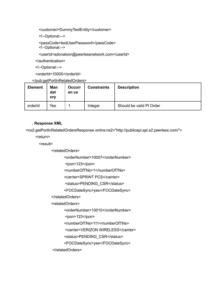<customer>DummyTestEntity</customer>

<!--Optional:-->

<passCode>testUserPassword</passCode> <!--Optional:-->

<userId>adonalson@peerlessnetwork.com</userId>

</authentication>

<!--Optional:-->

<orderId>10005</orderId>

## </pub:getPortInRelatedOrders>

| <b>Element</b> | Man<br>dat<br>ory | <b>Occurr</b><br>en ce | <b>Constraints</b> | <b>Description</b>       |
|----------------|-------------------|------------------------|--------------------|--------------------------|
| orderId        | Yes               |                        | Integer            | Should be valid PI Order |

#### **. Response XML**

<ns2:getPortInRelatedOrdersResponse xmlns:ns2="http://publicapi.api.s2.peerless.com/">

<return>

<result>

<relatedOrders>

<orderNumber>10007</orderNumber>

<pon>123</pon>

<numberOfTNs>1</numberOfTNs>

<carrier>SPRINT PCS</carrier>

<status>PENDING\_CSR</status>

<FOCDateSync>yes</FOCDateSync>

</relatedOrders>

<relatedOrders>

<orderNumber>10010</orderNumber>

<pon>123</pon>

<numberOfTNs>111</numberOfTNs>

<carrier>VERIZON WIRELESS</carrier>

<status>PENDING\_CSR</status>

<FOCDateSync>yes</FOCDateSync>

</relatedOrders>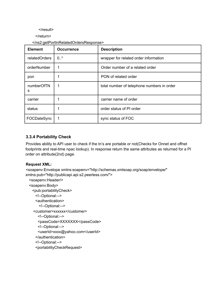</result>

</return>

#### </ns2:getPortInRelatedOrdersResponse>

| <b>Element</b>  | <b>Occurrence</b> | <b>Description</b>                         |
|-----------------|-------------------|--------------------------------------------|
| relatedOrders   | 0.7               | wrapper for related order information      |
| orderNumber     | 1                 | Order number of a related order            |
| pon             |                   | PON of related order                       |
| numberOfTN<br>s | 1                 | total number of telephone numbers in order |
| carrier         | 1                 | carrier name of order                      |
| status          | 1                 | order status of PI order                   |
| FOCDateSync     | 1                 | sync status of FOC                         |

## **3.3.4 Portability Check**

Provides ability to API user to check if the tn's are portable or not(Checks for Onnet and offnet footprints and real-time npac lookup). In response return the same attributes as returned for a PI order on attribute(2nd) page.

## **Request XML:**

<soapenv:Envelope xmlns:soapenv="http://schemas.xmlsoap.org/soap/envelope/" xmlns:pub="http://publicapi.api.s2.peerless.com/">

```
<soapenv:Header/>
<soapenv:Body>
 <pub:portabilityCheck>
   <!--Optional:-->
   <authentication>
     <!--Optional:-->
  <customer>xxxxxx</customer>
    <!--Optional:-->
    <passCode>XXXXXXX</passCode>
    <!--Optional:-->
    <userId>xxxx@yahoo.com</userId>
   </authentication>
   <!--Optional:-->
   <portabilityCheckRequest>
```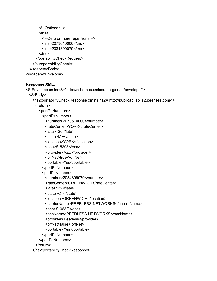```
<!--Optional:-->
       <tns>
         <!--Zero or more repetitions:-->
         <tns>2073610000</tns>
         <tns>2034899079</tns>
       \langletns>
     </portabilityCheckRequest>
   </pub:portabilityCheck>
 </soapenv:Body>
</soapenv:Envelope>
```
## **Response XML:**

```
<S:Envelope xmlns:S="http://schemas.xmlsoap.org/soap/envelope/">
 <S:Body>
   <ns2:portabilityCheckResponse xmlns:ns2="http://publicapi.api.s2.peerless.com/">
    <return>
      <portPsNumbers>
        <portPsNumber>
          <number>2073610000</number>
         <rateCenter>YORK</rateCenter>
          <lata>120</lata>
          <state>ME</state>
         <location>YORK</location>
         <ocn>S-5205</ocn>
         <provider>VZB</provider>
          <offNet>true</offNet>
          <portable>Yes</portable>
        </portPsNumber>
        <portPsNumber>
          <number>2034899079</number>
         <rateCenter>GREENWICH</rateCenter>
         <lata>132</lata>
          <state>CT</state>
          <location>GREENWICH</location>
          <carrierName>PEERLESS NETWORKS</carrierName>
          <ocn>S-063E</ocn>
          <ocnName>PEERLESS NETWORKS</ocnName>
          <provider>Peerless</provider>
          <offNet>false</offNet>
          <portable>Yes</portable>
        </portPsNumber>
      </portPsNumbers>
    </return>
   </ns2:portabilityCheckResponse>
```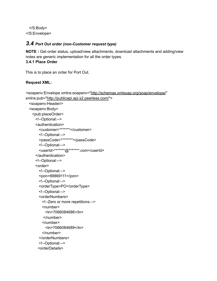</S:Body> </S:Envelope>

## *3.4 Port Out order (non-Customer request type)*

**NOTE :** Get order status, upload/view attachments, download attachments and adding/view notes are generic implementation for all the order types. **3.4.1 Place Order**

This is to place an order for Port Out.

## **Request XML:**

```
<soapenv:Envelope xmlns:soapenv="http://schemas.xmlsoap.org/soap/envelope/"
xmlns:pub="http://publicapi.api.s2.peerless.com/">
  <soapenv:Header/>
  <soapenv:Body>
   <pub:placeOrder>
     <!--Optional:-->
     <authentication>
       <customer>*******</customer>
       <!--Optional:-->
       <passCode>********</passCode>
       <!--Optional:-->
       <userId>*******@*******.com</userId>
     </authentication>
     <!--Optional:-->
     <order>
       <!--Optional:-->
       <pon>88869111</pon>
       <!--Optional:-->
       <orderType>PO</orderType>
       <!--Optional:-->
       <orderNumbers>
         <!--Zero or more repetitions:-->
         <number>
          <tn>7066084686</tn>
         </number>
         <number>
          <tn>7066084689</tn>
         </number>
       </orderNumbers>
       <!--Optional:-->
      <orderDetails>
```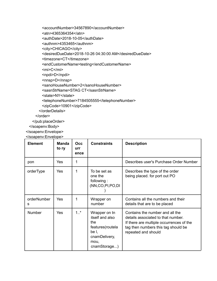<accountNumber>34567890</accountNumber> <atn>4365364354</atn> <authDate>2018-10-05</authDate> <authnm>4353465</authnm> <city>CHICAGO</city> <desiredDueDate>2018-10-26 04:30:00 AM</desiredDueDate> <timezone>CT</timezone> <endCustomerName>testing</endCustomerName> <mi>C</mi> <npdi>D</npdi> <nnsp>D</nnsp> <sanoHouseNumber>2</sanoHouseNumber> <sasnStrName>STAG CT</sasnStrName> <state>NY</state> <telephoneNumber>7184505555</telephoneNumber> <zipCode>10901</zipCode> </orderDetails>

</order>

</pub:placeOrder>

</soapenv:Body>

</soapenv:Envelope>

</soapenv:Envelope>

| <b>Element</b>   | <b>Manda</b><br>to ry | <b>Occ</b><br>urr<br>ence | <b>Constraints</b>                                                                                             | <b>Description</b>                                                                                                                                                              |
|------------------|-----------------------|---------------------------|----------------------------------------------------------------------------------------------------------------|---------------------------------------------------------------------------------------------------------------------------------------------------------------------------------|
| pon              | Yes                   | 1                         |                                                                                                                | Describes user's Purchase Order Number                                                                                                                                          |
| orderType        | <b>Yes</b>            | 1                         | To be set as<br>one the<br>following:<br>(NN,CO,PI,PO,DI                                                       | Describes the type of the order<br>being placed. for port out PO                                                                                                                |
| orderNumber<br>s | Yes                   | 1                         | Wrapper on<br>number                                                                                           | Contains all the numbers and their<br>details that are to be placed                                                                                                             |
| <b>Number</b>    | Yes                   | $1.1$ *                   | Wrapper on tn<br>itself and also<br>the<br>features (routela<br>be I,<br>cnamDelivery,<br>mou,<br>cnamStorage) | Contains the number and all the<br>details associated to that number.<br>If there are multiple occurrences of the<br>tag then numbers this tag should be<br>repeated and should |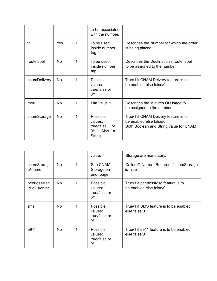|              |           |   | to be associated<br>with the number.                                     |                                                                                                            |
|--------------|-----------|---|--------------------------------------------------------------------------|------------------------------------------------------------------------------------------------------------|
| tn           | Yes       | 1 | To be used<br>inside number<br>tag.                                      | Describes the Number for which the order<br>is being placed                                                |
| routelabel   | <b>No</b> | 1 | To be used<br>inside number<br>tag.                                      | Describes the Destination's route label<br>to be assigned to the number.                                   |
| cnamDelivery | No.       | 1 | Possible<br>values:<br>true/false or<br>0/1                              | True/1 if CNAM Deivery feature is to<br>be enabled else false/0                                            |
| mou          | <b>No</b> | 1 | Min Value 1                                                              | Describes the Minutes Of Usage to<br>be assigned to the number                                             |
| cnamStorage  | <b>No</b> | 1 | Possible<br>values:<br>true/false<br>or<br>$0/1$ . Also<br>- a<br>String | True/1 if CNAM Deivery feature is to<br>be enabled else false/0.<br>Both Boolean and String value for CNAM |

|                              |           |   | value.                                      | Storage are mandatory.                                         |
|------------------------------|-----------|---|---------------------------------------------|----------------------------------------------------------------|
| cnamStorag<br>eN ame         | <b>No</b> | 1 | See CNAM<br>Storage on<br>prior page        | Caller ID Name - Requred if cnamStorage<br>is True             |
| peerlessMsg<br>Pr ovisioning | <b>No</b> | 1 | Possible<br>values:<br>true/false or<br>0/1 | True/1 if peerlessMsg feature is to<br>be enabled else false/0 |
| sms                          | <b>No</b> | 1 | Possible<br>values:<br>true/false or<br>0/1 | True/1 if SMS feature is to be enabled<br>else false/0         |
| e911                         | <b>No</b> | 1 | Possible<br>values:<br>true/false or<br>0/1 | True/1 if e911 feature is to be enabled<br>else false/0        |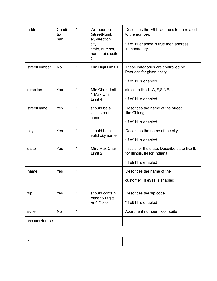| address      | Condi<br>tio<br>nal* | 1            | Wrapper on<br>(streetNumb<br>er, direction,<br>city,<br>state, number,<br>name, pin, suite<br>$\mathcal{Y}$ | Describes the E911 address to be related<br>to the number.<br>*If e911 enabled is true then address<br>in mandatory. |
|--------------|----------------------|--------------|-------------------------------------------------------------------------------------------------------------|----------------------------------------------------------------------------------------------------------------------|
| streetNumber | <b>No</b>            | 1            | Min Digit Limit 1                                                                                           | These categories are controlled by<br>Peerless for given entity<br>*If e911 is enabled                               |
| direction    | Yes                  | 1            | Min Char Limit<br>1 Max Char<br>Limit 4                                                                     | direction like N, W, E, S, NE<br>*If e911 is enabled                                                                 |
| streetName   | Yes                  | 1            | should be a<br>valid street<br>name                                                                         | Describes the name of the street<br>like Chicago<br>*If e911 is enabled                                              |
| city         | Yes                  | 1            | should be a<br>valid city name                                                                              | Describes the name of the city<br>*If e911 is enabled                                                                |
| state        | Yes                  | 1            | Min, Max Char<br>Limit 2                                                                                    | Initials for ths state. Describe state like IL<br>for Illinois, IN for Indiana<br>*If e911 is enabled                |
| name         | Yes                  | 1            |                                                                                                             | Describes the name of the<br>customer *If e911 is enabled                                                            |
| zip          | Yes                  | $\mathbf{1}$ | should contain<br>either 5 Digits<br>or 9 Digits                                                            | Describes the zip code<br>*If e911 is enabled                                                                        |
| suite        | <b>No</b>            | 1            |                                                                                                             | Apartment number, floor, suite                                                                                       |
| accountNumbe |                      | 1            |                                                                                                             |                                                                                                                      |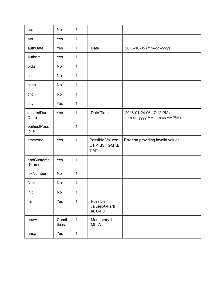| act                   | <b>No</b>        | 1            |                                                 |                                                        |
|-----------------------|------------------|--------------|-------------------------------------------------|--------------------------------------------------------|
| atn                   | Yes              | 1            |                                                 |                                                        |
| authDate              | Yes              | 1            | Date                                            | 2016-10-05 (mm-dd-yyyy)                                |
| authnm                | Yes              | $\mathbf{1}$ |                                                 |                                                        |
| bldg                  | <b>No</b>        | $\mathbf{1}$ |                                                 |                                                        |
| cc                    | <b>No</b>        | 1            |                                                 |                                                        |
| ccna                  | <b>No</b>        | 1            |                                                 |                                                        |
| chc                   | <b>No</b>        | 1            |                                                 |                                                        |
| city                  | Yes              | $\mathbf{1}$ |                                                 |                                                        |
| desiredDue<br>Dat e   | Yes              | 1            | Date Time                                       | 2018-01-24 06:17:12 PM (<br>mm-dd-yyyy HH:mm:ss AM/PM) |
| earliestPoss<br>ibl e |                  | 1            |                                                 |                                                        |
| timezone              | Yes              | $\mathbf{1}$ | Possible Values:<br>CT, PT, IST, GMT, E<br>T,MT | Error on providing invalid values                      |
| endCustome<br>rN ame  | Yes              | 1            |                                                 |                                                        |
| faxNumber             | <b>No</b>        | 1            |                                                 |                                                        |
| floor                 | No               | 1            |                                                 |                                                        |
| init                  | No               | $\mathbf{1}$ |                                                 |                                                        |
| mi                    | Yes              | 1            | Possible<br>values:A-Parti<br>al, C-Full        |                                                        |
| newAtn                | Condi<br>tio nal | $\mathbf{1}$ | Mandatory if<br>$MI = 'A'$                      |                                                        |
| nnsp                  | Yes              | $\mathbf 1$  |                                                 |                                                        |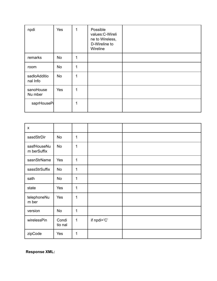| npdi                     | Yes       | 1 | Possible<br>values: C-Wireli<br>ne to Wireless,<br>D-Wireline to<br>Wireline |  |
|--------------------------|-----------|---|------------------------------------------------------------------------------|--|
| remarks                  | No        | 1 |                                                                              |  |
| room                     | <b>No</b> | 1 |                                                                              |  |
| sadloAdditio<br>nal Info | <b>No</b> | 1 |                                                                              |  |
| sanoHouse<br>Nu mber     | Yes       | 1 |                                                                              |  |
| saprHouseP               |           | 1 |                                                                              |  |

| $\mathsf{x}$               |                  |   |             |  |
|----------------------------|------------------|---|-------------|--|
| sasdStrDir                 | <b>No</b>        | 1 |             |  |
| sasfHouseNu<br>m berSuffix | No               | 1 |             |  |
| sasnStrName                | Yes              | 1 |             |  |
| sassStrSuffix              | No               | 1 |             |  |
| sath                       | No               | 1 |             |  |
| state                      | Yes              | 1 |             |  |
| telephoneNu<br>m ber       | Yes              | 1 |             |  |
| version                    | <b>No</b>        | 1 |             |  |
| wirelessPin                | Condi<br>tio nal | 1 | if npdi='C' |  |
| zipCode                    | Yes              | 1 |             |  |

**Response XML:**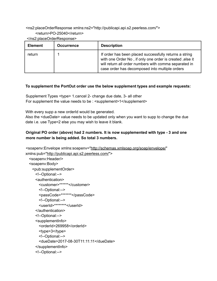<ns2:placeOrderResponse xmlns:ns2="http://publicapi.api.s2.peerless.com/"> <return>PO-25040</return>

</ns2:placeOrderResponse>

| <b>Element</b> | <b>Occurrence</b> | <b>Description</b>                                                                                                                                                                                                            |
|----------------|-------------------|-------------------------------------------------------------------------------------------------------------------------------------------------------------------------------------------------------------------------------|
| return         |                   | If order has been placed successfully returns a string<br>with one Order No, if only one order is created, else it<br>will return all order numbers with comma separated in<br>case order has decomposed into multiple orders |

## **To supplement the PortOut order use the below supplement types and example requests:**

Supplement Types <type> 1.cancel 2- change due date, 3- all other For supplement the value needs to be : <supplement>1</supplement>

With every supp a new orderId would be generated.

Also the <dueDate> value needs to be updated only when you want to supp to change the due date i.e. use Type=2 else you may wish to leave it blank.

## **Original PO order (above) had 2 numbers. It is now supplemented with type - 3 and one more number is being added. So total 3 numbers.**

```
<soapenv:Envelope xmlns:soapenv="http://schemas.xmlsoap.org/soap/envelope/"
xmlns:pub="http://publicapi.api.s2.peerless.com/">
  <soapenv:Header/>
  <soapenv:Body>
   <pub:supplementOrder>
     <!--Optional:-->
     <authentication>
       <customer>******</customer>
       <!--Optional:-->
       <passCode>*******</passCode>
       <!--Optional:-->
       <userId>********</userId>
     </authentication>
     <!--Optional:-->
     <supplementInfo>
       <orderId>269958</orderId>
       <type>3</type>
       <!--Optional:-->
       <dueDate>2017-08-30T11:11:11</dueDate>
     </supplementInfo>
     <!--Optional:-->
```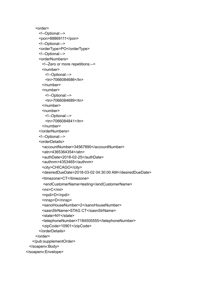```
<order>
      <!--Optional:-->
      <pon>88869111</pon>
      <!--Optional:-->
      <orderType>PO</orderType>
      <!--Optional:-->
      <orderNumbers>
        <!--Zero or more repetitions:-->
        <number>
         <!--Optional:-->
          <tn>7066084686</tn>
        </number>
        <number>
         <!--Optional:-->
          <tn>7066084689</tn>
        </number>
        <number>
         <!--Optional:-->
         <tn>7066084841</tn>
        </number>
      </orderNumbers>
      <!--Optional:-->
      <orderDetails>
        <accountNumber>34567890</accountNumber>
        <atn>4365364354</atn>
        <authDate>2018-02-25</authDate>
        <authnm>4353465</authnm>
        <city>CHICAGO</city>
        <desiredDueDate>2018-03-02 04:30:00 AM</desiredDueDate>
        <timezone>CT</timezone>
        <endCustomerName>testing</endCustomerName>
        <mi>C</mi>
        <npdi>D</npdi>
        <nnsp>D</nnsp>
        <sanoHouseNumber>2</sanoHouseNumber>
        <sasnStrName>STAG CT</sasnStrName>
        <state>NY</state>
        <telephoneNumber>7184505555</telephoneNumber>
        <zipCode>10901</zipCode>
      </orderDetails>
    </order>
   </pub:supplementOrder>
 </soapenv:Body>
</soapenv:Envelope>
```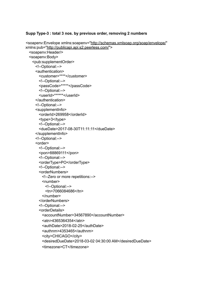#### **Supp Type-3 : total 3 nos. by previous order, removing 2 numbers**

```
<soapenv:Envelope xmlns:soapenv="http://schemas.xmlsoap.org/soap/envelope/"
xmlns:pub="http://publicapi.api.s2.peerless.com/">
  <soapenv:Header/>
  <soapenv:Body>
   <pub:supplementOrder>
     <!--Optional:-->
     <authentication>
       <customer>****</customer>
       <!--Optional:-->
       <passCode>*****</passCode>
       <!--Optional:-->
       <userId>******</userId>
     </authentication>
     <!--Optional:-->
     <supplementInfo>
       <orderId>269958</orderId>
       <type>3</type>
       <!--Optional:-->
       <dueDate>2017-08-30T11:11:11</dueDate>
     </supplementInfo>
     <!--Optional:-->
     <order>
       <!--Optional:-->
       <pon>88869111</pon>
       <!--Optional:-->
       <orderType>PO</orderType>
       <!--Optional:-->
       <orderNumbers>
         <!--Zero or more repetitions:-->
        <number>
          <!--Optional:-->
          <tn>7066084686</tn>
         </number>
       </orderNumbers>
       <!--Optional:-->
       <orderDetails>
         <accountNumber>34567890</accountNumber>
         <atn>4365364354</atn>
         <authDate>2018-02-25</authDate>
         <authnm>4353465</authnm>
         <city>CHICAGO</city>
         <desiredDueDate>2018-03-02 04:30:00 AM</desiredDueDate>
         <timezone>CT</timezone>
```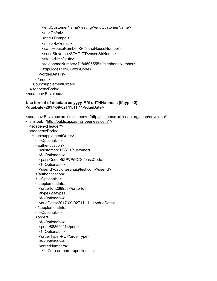```
<endCustomerName>testing</endCustomerName>
        <mi>C</mi>
        <npdi>D</npdi>
        <nnsp>D</nnsp>
        <sanoHouseNumber>2</sanoHouseNumber>
        <sasnStrName>STAG CT</sasnStrName>
        <state>NY</state>
        <telephoneNumber>7184505555</telephoneNumber>
        <zipCode>10901</zipCode>
      </orderDetails>
    </order>
   </pub:supplementOrder>
 </soapenv:Body>
</soapenv:Envelope>
```
#### **Use format of duedate as yyyy-MM-ddTHH:mm:ss (if type=2) <dueDate>2017-09-02T11:11:11</dueDate>**

```
<soapenv:Envelope xmlns:soapenv="http://schemas.xmlsoap.org/soap/envelope/"
xmlns:pub="http://publicapi.api.s2.peerless.com/">
  <soapenv:Header/>
  <soapenv:Body>
   <pub:supplementOrder>
     <!--Optional:-->
     <authentication>
       <customer>TEST</customer>
       <!--Optional:-->
       <passCode>5ZPVP5OC</passCode>
       <!--Optional:-->
       <userId>david.testing@test.com</userId>
     </authentication>
     <!--Optional:-->
     <supplementInfo>
       <orderId>269958</orderId>
       <type>2</type>
       <!--Optional:-->
       <dueDate>2017-09-02T11:11:11</dueDate>
     </supplementInfo>
     <!--Optional:-->
     <order>
       <!--Optional:-->
       <pon>88869111</pon>
       <!--Optional:-->
       <orderType>PO</orderType>
       <!--Optional:-->
       <orderNumbers>
         <!--Zero or more repetitions:-->
```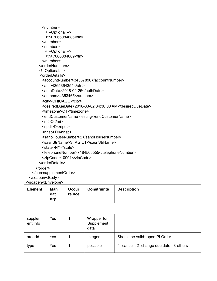```
<number>
        <!--Optional:-->
        <tn>7066084686</tn>
      </number>
      <number>
        <!--Optional:-->
        <tn>7066084689</tn>
      </number>
     </orderNumbers>
     <!--Optional:-->
     <orderDetails>
      <accountNumber>34567890</accountNumber>
      <atn>4365364354</atn>
      <authDate>2018-02-25</authDate>
      <authnm>4353465</authnm>
      <city>CHICAGO</city>
      <desiredDueDate>2018-03-02 04:30:00 AM</desiredDueDate>
      <timezone>CT</timezone>
      <endCustomerName>testing</endCustomerName>
      <mi>C</mi>
      <npdi>D</npdi>
      <nnsp>D</nnsp>
      <sanoHouseNumber>2</sanoHouseNumber>
      <sasnStrName>STAG CT</sasnStrName>
      <state>NY</state>
      <telephoneNumber>7184505555</telephoneNumber>
      <zipCode>10901</zipCode>
     </orderDetails>
   </order>
 </pub:supplementOrder>
</soapenv:Body>
```
</soapenv:Envelope>

| <b>Element</b> | Man<br>dat<br>orv | Occur<br>re nce | <b>Constraints</b> | <b>Description</b> |
|----------------|-------------------|-----------------|--------------------|--------------------|
|----------------|-------------------|-----------------|--------------------|--------------------|

| supplem<br>ent Info | Yes | Wrapper for<br>Supplement<br>data |                                         |
|---------------------|-----|-----------------------------------|-----------------------------------------|
| orderId             | Yes | Integer                           | Should be valid* open PI Order          |
| type                | Yes | possible                          | 1- cancel, 2- change due date, 3-others |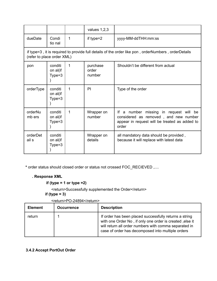|                                                                                                                                   |                                 |   | values $1,2,3$              |                                                                                                                                              |  |
|-----------------------------------------------------------------------------------------------------------------------------------|---------------------------------|---|-----------------------------|----------------------------------------------------------------------------------------------------------------------------------------------|--|
| dueDate                                                                                                                           | Condi<br>tio nal                | 1 | if type= $2$                | yyyy-MM-ddTHH:mm:ss                                                                                                                          |  |
| if type=3, it is required to provide full details of the order like pon, orderNumbers, orderDetails<br>(refer to place order XML) |                                 |   |                             |                                                                                                                                              |  |
| pon                                                                                                                               | conditi<br>on al(if<br>$Type=3$ | 1 | purchase<br>order<br>number | Shouldn't be different from actual                                                                                                           |  |
| orderType                                                                                                                         | conditi<br>on al(if<br>Type=3   | 1 | PI                          | Type of the order                                                                                                                            |  |
| orderNu<br>mb ers                                                                                                                 | conditi<br>on al(if<br>$Type=3$ | 1 | Wrapper on<br>number        | If a number<br>missing in request will be<br>considered as removed, and new number<br>appear in request will be treated as added to<br>order |  |
| orderDet<br>ail s                                                                                                                 | conditi<br>on al(if<br>Type=3   |   | Wrapper on<br>details       | all mandatory data should be provided,<br>because it will replace with latest data                                                           |  |

**\*** order status should closed order or status not crossed FOC\_RECIEVED ,....

## **. Response XML**

**if (type = 1 or type =2)**

<return>Successfully supplemented the Order</return> **if (type = 3)**

| <b>Element</b> | <b>Occurrence</b> | <b>Description</b>                                                                                                                                                                                                               |
|----------------|-------------------|----------------------------------------------------------------------------------------------------------------------------------------------------------------------------------------------------------------------------------|
| return         |                   | If order has been placed successfully returns a string<br>with one Order No, if only one order is created, else it<br>will return all order numbers with comma separated in<br>case of order has decomposed into multiple orders |

<return>PO-24894</return>

## **3.4.2 Accept PortOut Order**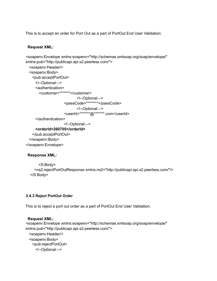This is to accept an order for Port Out as a part of PortOut End User Validation.

## **Request XML:**

```
<soapenv:Envelope xmlns:soapenv="http://schemas.xmlsoap.org/soap/envelope/"
xmlns:pub="http://publicapi.api.s2.peerless.com/">
  <soapenv:Header/>
  <soapenv:Body>
   <pub:acceptPortOut>
     <!--Optional:-->
     <authentication>
       <customer>*******</customer>
                            <!--Optional:-->
                     <passCode>********</passCode>
                            <!--Optional:-->
                     <userId>*******@*******.com</userId>
     </authentication>
                     <!--Optional:-->
     <orderId>260705</orderId>
   </pub:acceptPortOut>
  </soapenv:Body>
</soapenv:Envelope>
```
## **Response XML:**

```
<S:Body>
  <ns2:rejectPortOutResponse xmlns:ns2="http://publicapi.api.s2.peerless.com/"/>
</S:Body>
```
## **3.4.3 Reject PortOut Order**

This is to reject a port out order as a part of PortOut End User Validation.

#### **Request XML:**

```
<soapenv:Envelope xmlns:soapenv="http://schemas.xmlsoap.org/soap/envelope/"
xmlns:pub="http://publicapi.api.s2.peerless.com/">
  <soapenv:Header/>
  <soapenv:Body>
   <pub:rejectPortOut>
     <!--Optional:-->
```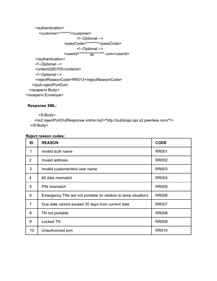<authentication>

```
<customer>*******</customer>
```

```
<!--Optional:-->
```

```
<passCode>********</passCode>
```

```
<!--Optional:-->
```
<userId>\*\*\*\*\*\*\*@\*\*\*\*\*\*\*.com</userId>

- </authentication>
- <!--Optional:-->

```
<orderId260705</orderId>
```

```
<!--Optional:-->
```
<rejectReasonCode>RR013</rejectReasonCode>

</pub:rejectPortOut>

</soapenv:Body>

</soapenv:Envelope>

## **Response XML:**

<S:Body>

<ns2:rejectPortOutResponse xmlns:ns2="http://publicapi.api.s2.peerless.com/"/> </S:Body>

## **Reject reason codes:**

| ID             | <b>REASON</b>                                                  | <b>CODE</b>  |
|----------------|----------------------------------------------------------------|--------------|
| 1              | Invalid auth name                                              | <b>RR001</b> |
| 2              | Invalid address                                                | <b>RR002</b> |
| 3              | Invalid customer/end user name                                 | <b>RR003</b> |
| 4              | All data mismatch                                              | <b>RR004</b> |
| 5              | PIN mismatch                                                   | <b>RR005</b> |
| 6              | Emergency TNs are not portable (in relation to temp situation) | <b>RR006</b> |
| $\overline{7}$ | Due date cannot exceed 30 days from current date               | <b>RR007</b> |
| 8              | TN not portable                                                | <b>RR008</b> |
| 9              | Locked TN                                                      | <b>RR009</b> |
| 10             | Unauthorized port                                              | <b>RR010</b> |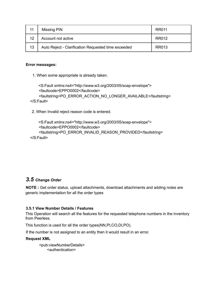| 11 | Missing PIN                                         | RR011 |
|----|-----------------------------------------------------|-------|
| 12 | Account not active                                  | RR012 |
| 13 | Auto Reject - Clarification Requested time exceeded | RR013 |

#### **Error messages:**

1. When some appropriate is already taken.

```
<S:Fault xmlns:ns4="http://www.w3.org/2003/05/soap-envelope">
    <faultcode>EPPO0002</faultcode>
    <faultstring>PO_ERROR_ACTION_NO_LONGER_AVAILABLE</faultstring>
</S:Fault>
```
2. When Invalid reject reason code is entered.

```
<S:Fault xmlns:ns4="http://www.w3.org/2003/05/soap-envelope">
    <faultcode>EPPO0002</faultcode>
    <faultstring>PO_ERROR_INVALID_REASON_PROVIDED</faultstring>
</S:Fault>
```
## *3.5 Change Order*

**NOTE :** Get order status, upload attachments, download attachments and adding notes are generic implementation for all the order types

#### **3.5.1 View Number Details / Features**

This Operation will search all the features for the requested telephone numbers in the inventory from Peerless.

This function is used for all the order types(NN,PI,CO,DI,PO).

If the number is not assigned to an entity then it would result in an error.

#### **Request XML**

<pub:viewNumberDetails> <authentication>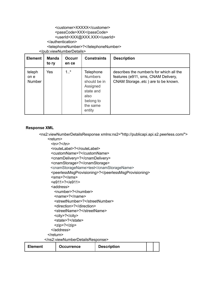## <customer>XXXXX</customer> <passCode>XXX</passCode> <userId>XXX@XXX.XXX</userId>

</authentication>

<telephoneNumber>?</telephoneNumber>

</pub:viewNumberDetails>

| <b>Element</b>           | <b>Manda</b><br>to rv | <b>Occurr</b><br>en ce | <b>Constraints</b>                                                                                              | <b>Description</b>                                                                                                   |
|--------------------------|-----------------------|------------------------|-----------------------------------------------------------------------------------------------------------------|----------------------------------------------------------------------------------------------------------------------|
| teleph<br>on e<br>Number | Yes                   | $1.1$ *                | Telephone<br><b>Numbers</b><br>should be in<br>Assigned<br>state and<br>also<br>belong to<br>the same<br>entity | describes the number/s for which all the<br>features (e911, sms, CNAM Delivery,<br>CNAM Storageetc) are to be known. |

## **Response XML**

- <ns2:viewNumberDetailsResponse xmlns:ns2="http://publicapi.api.s2.peerless.com/"> <return>
	- $<sub>2</sub><$ </sub>
	- <routeLabel>?</routeLabel>
	- <customName>?</customName>
	- <cnamDelivery>?</cnamDelivery>
	- <cnamStorage>?</cnamStorage>
	- <cnamStorageName>test</cnamStorageName>
	- <peerlessMsgProvisioning>?</peerlessMsgProvisioning>
	- <sms>?</sms>
	- <e911>?</e911>
	- <address>
	- <number>?</number>
	- <name>?</name>
	- <streetNumber>?</streetNumber>
	- <direction>?</direction>
	- <streetName>?</streetName>
	- <city>?</city>
	- <state>?</state>
	- <zip>?</zip>
	- </address>
	- </return>
	- </ns2:viewNumberDetailsResponse>

| <b>Element</b><br><b>Occurrence</b> | <b>Description</b> |  |  |  |
|-------------------------------------|--------------------|--|--|--|
|-------------------------------------|--------------------|--|--|--|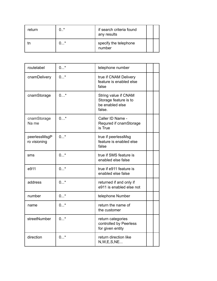| return | ∩ * | if search criteria found<br>any results |  |
|--------|-----|-----------------------------------------|--|
|        | *   | specify the telephone<br>number         |  |

| routelabel                   | $0*$  | telephone number                                                           |  |
|------------------------------|-------|----------------------------------------------------------------------------|--|
| cnamDelivery                 | $0^*$ | true if CNAM Delivery<br>feature is enabled else<br>false                  |  |
| cnamStorage                  | $0*$  | String value if CNAM<br>Storage feature is to<br>be enabled else<br>false. |  |
| cnamStorage<br>Na me         | $0*$  | Caller ID Name -<br>Requred if cnamStorage<br>is True                      |  |
| peerlessMsgP<br>ro visioning | $0*$  | true if peerlessMsg<br>feature is enabled else<br>false                    |  |
| sms                          | $0^*$ | true if SMS feature is<br>enabled else false                               |  |
| e911                         | $0^*$ | true if e911 feature is<br>enabled else false                              |  |
| address                      | $0^*$ | returned if and only if<br>e911 is enabled else not                        |  |
| number                       | $0^*$ | telephone Number                                                           |  |
| name                         | $0*$  | return the name of<br>the customer                                         |  |
| streetNumber                 | $0^*$ | return categories<br>controlled by Peerless<br>for given entity            |  |
| direction                    | $0*$  | return direction like<br>N, W, E, S, NE                                    |  |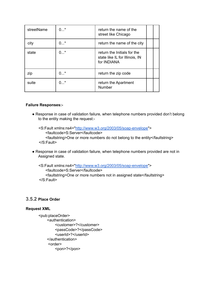| streetName | $0^*$ | return the name of the<br>street like Chicago                                |  |
|------------|-------|------------------------------------------------------------------------------|--|
| city       | $0^*$ | return the name of the city                                                  |  |
| state      | $0^*$ | return the Initials for the<br>state like IL for Illinois, IN<br>for INDIANA |  |
| zip        | ∩ *   | return the zip code                                                          |  |
| suite      | $0^*$ | return the Apartment<br><b>Number</b>                                        |  |

#### **Failure Responses:-**

- Response in case of validation failure, when telephone numbers provided don't belong to the entity making the request:-
	- <S:Fault xmlns:ns4="http://www.w3.org/2003/05/soap-envelope"> <faultcode>S:Server</faultcode> <faultstring>One or more numbers do not belong to the entity</faultstring> </S:Fault>
- Response in case of validation failure, when telephone numbers provided are not in Assigned state.

<S:Fault xmlns:ns4="http://www.w3.org/2003/05/soap-envelope"> <faultcode>S:Server</faultcode> <faultstring>One or more numbers not in assigned state</faultstring> </S:Fault>

## **3.5.2 Place Order**

#### **Request XML**

<pub:placeOrder> <authentication> <customer>?</customer> <passCode>?</passCode> <userId>?</userId> </authentication> <order> <pon>?</pon>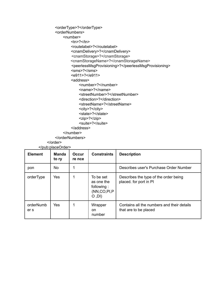```
<orderType>?</orderType>
    <orderNumbers>
        <number>
            <sub>2</sub><</sub>
            <routelabel>?</routelabel>
            <cnamDelivery>?</cnamDelivery>
            <cnamStorage>?</cnamStorage>
            <cnamStorageName>?</cnamStorageName>
            <peerlessMsgProvisioning>?</peerlessMsgProvisioning>
            <sms>?</sms>
            <e911>?</e911>
            <address>
                <number>?</number>
                <name>?</name>
                <streetNumber>?</streetNumber>
                <direction>?</direction>
                <streetName>?</streetName>
                <city>?</city>
                <state>?</state>
                <zip>?</zip>
                <suite>?</suite>
            </address>
        </number>
    </orderNumbers>
</order>
```
</pub:placeOrder>

| <b>Element</b>    | <b>Manda</b><br>to ry | <b>Occur</b><br>re nce | <b>Constraints</b>                                                  | <b>Description</b>                                                  |
|-------------------|-----------------------|------------------------|---------------------------------------------------------------------|---------------------------------------------------------------------|
| pon               | No.                   |                        |                                                                     | Describes user's Purchase Order Number                              |
| orderType         | <b>Yes</b>            |                        | To be set<br>as one the<br>following:<br>(NN, CO, PI, P)<br>(IO, O) | Describes the type of the order being<br>placed. for port in PI     |
| orderNumb<br>er s | <b>Yes</b>            |                        | Wrapper<br><sub>on</sub><br>number                                  | Contains all the numbers and their details<br>that are to be placed |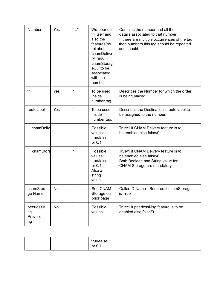| <b>Number</b>                       | Yes       | $1.1$ * | Wrapper on<br>tn itself and<br>also the<br>features(rou<br>tel abel,<br>cnamDelive<br>ry, mou,<br>cnamStorag<br>$e$ ) to be<br>associated<br>with the<br>number. | Contains the number and all the<br>details associated to that number.<br>If there are multiple occurrences of the tag<br>then numbers this tag should be repeated<br>and should |
|-------------------------------------|-----------|---------|------------------------------------------------------------------------------------------------------------------------------------------------------------------|---------------------------------------------------------------------------------------------------------------------------------------------------------------------------------|
| tn                                  | Yes       | 1       | To be used<br>inside<br>number tag.                                                                                                                              | Describes the Number for which the order<br>is being placed                                                                                                                     |
| routelabel                          | Yes       | 1       | To be used<br>inside<br>number tag.                                                                                                                              | Describes the Destination's route label to<br>be assigned to the number.                                                                                                        |
| cnamDelive                          |           | 1       | Possible<br>values:<br>true/false<br>or 0/1                                                                                                                      | True/1 if CNAM Deivery feature is to<br>be enabled else false/0                                                                                                                 |
| cnamStora                           |           | 1       | Possible<br>values:<br>true/false<br>or 0/1.<br>Also a<br>string<br>value                                                                                        | True/1 if CNAM Deivery feature is to<br>be enabled else false/0<br>Both Boolean and String value for<br>CNAM Storage are mandatory.                                             |
| cnamStora<br>ge Name                | <b>No</b> | 1       | See CNAM<br>Storage on<br>prior page                                                                                                                             | Caller ID Name - Requred if cnamStorage<br>is True                                                                                                                              |
| peerlessM<br>sg<br>Provisioni<br>ng | <b>No</b> | 1       | Possible<br>values:                                                                                                                                              | True/1 if peerlessMsg feature is to be<br>enabled else false/0                                                                                                                  |

|  | true/false<br>or 0/1 |  |
|--|----------------------|--|
|  |                      |  |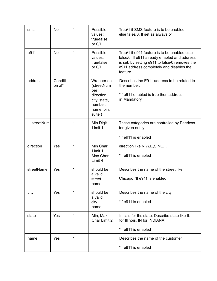| sms        | <b>No</b>         | 1 | Possible<br>values:<br>true/false<br>or 0/1                                                       | True/1 if SMS feature is to be enabled<br>else false/0. If set as always or                                                                                                                            |
|------------|-------------------|---|---------------------------------------------------------------------------------------------------|--------------------------------------------------------------------------------------------------------------------------------------------------------------------------------------------------------|
| e911       | <b>No</b>         | 1 | Possible<br>values:<br>true/false<br>or 0/1                                                       | True/1 if e911 feature is to be enabled else<br>false/0. If e911 already enabled and address<br>is set, by setting e911 to false/0 removes the<br>e911 address completely and disables the<br>feature. |
| address    | Conditi<br>on al* | 1 | Wrapper on<br>(streetNum<br>ber,<br>direction,<br>city, state,<br>number,<br>name, pin,<br>suite) | Describes the E911 address to be related to<br>the number.<br>*If e911 enabled is true then address<br>in Mandatory                                                                                    |
| streetNuml |                   | 1 | Min Digit<br>Limit 1                                                                              | These categories are controlled by Peerless<br>for given entity                                                                                                                                        |
|            |                   |   |                                                                                                   | *If e911 is enabled                                                                                                                                                                                    |
| direction  | Yes               | 1 | Min Char<br>Limit 1<br>Max Char<br>Limit 4                                                        | direction like N, W, E, S, NE<br>*If e911 is enabled                                                                                                                                                   |
| streetName | Yes               | 1 | should be<br>a valid<br>street<br>name                                                            | Describes the name of the street like<br>Chicago *If e911 is enabled                                                                                                                                   |
| city       | Yes               | 1 | should be<br>a valid<br>city<br>name                                                              | Describes the name of the city<br>*If e911 is enabled                                                                                                                                                  |
| state      | Yes               | 1 | Min, Max<br>Char Limit 2                                                                          | Initials for ths state. Describe state like IL<br>for Illinois, IN for INDIANA                                                                                                                         |
|            |                   |   |                                                                                                   | *If e911 is enabled                                                                                                                                                                                    |
| name       | Yes               | 1 |                                                                                                   | Describes the name of the customer                                                                                                                                                                     |
|            |                   |   |                                                                                                   | *If e911 is enabled                                                                                                                                                                                    |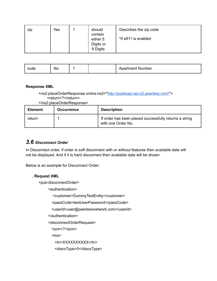| zip | Yes | should<br>contain                 | Describes the zip code |
|-----|-----|-----------------------------------|------------------------|
|     |     | either 5<br>Digits or<br>9 Digits | *If e911 is enabled    |

| suite | <b>NO</b><br>__ |  |  | artment.<br>Number<br>nuo 1 |
|-------|-----------------|--|--|-----------------------------|
|-------|-----------------|--|--|-----------------------------|

#### **Response XML**

## <ns2:placeOrderResponse xmlns:ns2="http://publicapi.api.s2.peerless.com/"> <return>?</return>

</ns2:placeOrderResponse>

| <b>Element</b> | <b>Occurrence</b> | <b>Description</b>                                                           |
|----------------|-------------------|------------------------------------------------------------------------------|
| return         |                   | If order has been placed successfully returns a string<br>with one Order No. |

# *3.6 Disconnect Order*

In Disconnect order, if order is soft disconnect with or without features then available date will not be displayed. And if it is hard disconnect then available date will be shown.

Below is an example for Disconnect Order:

#### **. Request XML**

<pub:disconnectOrder>

<authentication>

<customer>DummyTestEntity</customer>

<passCode>testUserPassword</passCode>

<userId>user@peerlessnetwork.com</userId>

</authentication>

<disconnectOrderRequest>

<pon>?</pon>

<tns>

<tn>XXXXXXXXX</tn>

<discoType>0</discoType>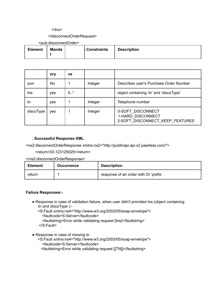#### $<$ /tns $>$

#### </disconnectOrderRequest>

<pub:disconnectOrder>

| <b>Element</b> | <b>Manda</b> | ∣ Constraints | <b>Description</b> |
|----------------|--------------|---------------|--------------------|
|                |              |               |                    |

|           | ory | ce     |         |                                                                           |
|-----------|-----|--------|---------|---------------------------------------------------------------------------|
| pon       | No  |        | Integer | Describes user's Purchase Order Number                                    |
| tns       | yes | $0.7*$ |         | object containing 'tn' and 'discoType'                                    |
| tn        | yes |        | Integer | Telephone number                                                          |
| discoType | yes |        | Integer | 0-SOFT_DISCONNECT<br>1-HARD_DISCONNECT<br>2-SOFT DISCONNECT KEEP FEATURES |

#### **. Successful Response XML**

<ns2:disconnectOrderResponse xmlns:ns2="http://publicapi.api.s2.peerless.com/">

<return>DI-123125025</return>

</ns2:disconnectOrderResponse>

| <b>Element</b> | <b>Occurrence</b> | <b>Description</b>                     |
|----------------|-------------------|----------------------------------------|
| return         |                   | response of an order with DI 'prefix'. |

#### **Failure Responses:-**

- Response in case of validation failure, when user didn't provided tns (object containing tn and discoType ):-
	- <S:Fault xmlns:ns4="http://www.w3.org/2003/05/soap-envelope"> <faultcode>S:Server</faultcode> <faultstring>Error while validating request [tns]</faultstring>
	- </S:Fault>
- Response in case of missing tn
	- <S:Fault xmlns:ns4="http://www.w3.org/2003/05/soap-envelope"> <faultcode>S:Server</faultcode>

<faultstring>Error while validating request [[TN]]</faultstring>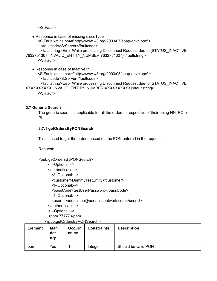</S:Fault>

• Response in case of missing discoType

<S:Fault xmlns:ns4="http://www.w3.org/2003/05/soap-envelope"> <faultcode>S:Server</faultcode>

<faultstring>Error While processing Disconnect Request due to [STATUS\_INACTIVE

7632751307, INVALID\_ENTITY\_NUMBER 7632751307]</faultstring>

</S:Fault>

• Response in case of Inactive tn <S:Fault xmlns:ns4="http://www.w3.org/2003/05/soap-envelope"> <faultcode>S:Server</faultcode> <faultstring>Error While processing Disconnect Request due to [STATUS\_INACTIVE XXXXXXXXXX, INVALID\_ENTITY\_NUMBER XXXXXXXXXXI</faultstring>

</S:Fault>

## **3.7 Generic Search**

The generic search is applicable for all the orders, irrespective of their being NN, PO or PI.

# **3.7.1 getOrdersByPONSearch**

This is used to get the orders based on the PON entered in the request.

#### Request:

<pub:getOrdersByPONSearch> <!--Optional:--> <authentication> <!--Optional:--> <customer>DummyTestEntity</customer> <!--Optional:--> <passCode>testUserPassword</passCode> <!--Optional:--> <userId>adonalson@peerlessnetwork.com</userId> </authentication> <!--Optional:--> <pon>77777</pon> </pub:getOrdersByPONSearch>

|                |                   | vpab.gotoraoropyr ortogarorr |                    |                     |
|----------------|-------------------|------------------------------|--------------------|---------------------|
| <b>Element</b> | Man<br>dat<br>ory | <b>Occurr</b><br>en ce       | <b>Constraints</b> | <b>Description</b>  |
| pon            | Yes               |                              | Integer            | Should be valid PON |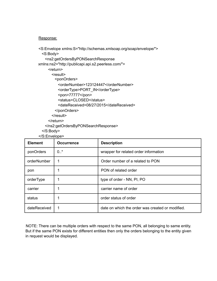#### Response:

<S:Envelope xmlns:S="http://schemas.xmlsoap.org/soap/envelope/"> <S:Body> <ns2:getOrdersByPONSearchResponse xmlns:ns2="http://publicapi.api.s2.peerless.com/"> <return> <result> <ponOrders> <orderNumber>123124447</orderNumber> <orderType>PORT\_IN</orderType> <pon>77777</pon> <status>CLOSED</status> <dateReceived>08/27/2015</dateReceived> </ponOrders> </result> </return> </ns2:getOrdersByPONSearchResponse> </S:Body>

</S:Envelope>

| <b>Element</b> | <b>Occurrence</b> | <b>Description</b>                               |
|----------------|-------------------|--------------------------------------------------|
| ponOrders      | 0.7               | wrapper for related order information            |
| orderNumber    |                   | Order number of a related to PON                 |
| pon            |                   | PON of related order                             |
| orderType      |                   | type of order - NN, PI, PO                       |
| carrier        |                   | carrier name of order                            |
| status         |                   | order status of order                            |
| dateReceived   |                   | date on which the order was created or modified. |

NOTE: There can be multiple orders with respect to the same PON, all belonging to same entity. But if the same PON exists for different entities then only the orders belonging to the entity given in request would be displayed.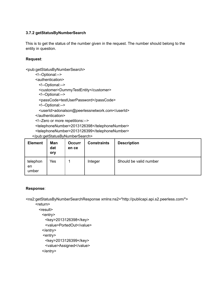# **3.7.2 getStatusByNumberSearch**

This is to get the status of the number given in the request. The number should belong to the entity in question.

#### **Request**:

<pub:getStatusByNumberSearch>

- <!--Optional:-->
- <authentication>
	- <!--Optional:-->
	- <customer>DummyTestEntity</customer>
	- <!--Optional:-->
	- <passCode>testUserPassword</passCode>
	- <!--Optional:-->
	- <userId>adonalson@peerlessnetwork.com</userId>
- </authentication>
- <!--Zero or more repetitions:-->
- <telephoneNumber>2013126398</telephoneNumber>
- <telephoneNumber>2013126399</telephoneNumber>
- </pub:getStatusByNumberSearch>

| <b>Element</b>          | Man<br>dat<br>ory | <b>Occurr</b><br>en ce | <b>Constraints</b> | <b>Description</b>     |
|-------------------------|-------------------|------------------------|--------------------|------------------------|
| telephon<br>en<br>umber | Yes               |                        | Integer            | Should be valid number |

## **Response**:

<ns2:getStatusByNumberSearchResponse xmlns:ns2="http://publicapi.api.s2.peerless.com/"> <return>

<result> <entry> <key>2013126398</key> <value>PortedOut</value> </entry> <entry> <key>2013126399</key> <value>Assigned</value> </entry>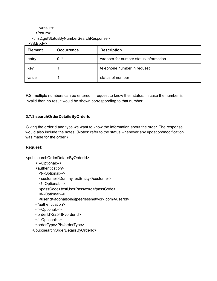```
</result>
```
</return>

</ns2:getStatusByNumberSearchResponse>

</S:Body>

| <b>Element</b> | <b>Occurrence</b> | <b>Description</b>                    |
|----------------|-------------------|---------------------------------------|
| entry          | 0.7               | wrapper for number status information |
| key            |                   | telephone number in request           |
| value          |                   | status of number                      |

P.S. multiple numbers can be entered in request to know their status. In case the number is invalid then no result would be shown corresponding to that number.

# **3.7.3 searchOrderDetailsByOrderId**

Giving the orderId and type we want to know the information about the order. The response would also include the notes. (Notes: refer to the status whenever any updation/modification was made for the order.)

# **Request**:

<pub:searchOrderDetailsByOrderId>

```
<!--Optional:-->
 <authentication>
   <!--Optional:-->
   <customer>DummyTestEntity</customer>
   <!--Optional:-->
   <passCode>testUserPassword</passCode>
   <!--Optional:-->
   <userId>adonalson@peerlessnetwork.com</userId>
 </authentication>
 <!--Optional:-->
 <orderId>22548</orderId>
 <!--Optional:-->
 <orderType>PI</orderType>
</pub:searchOrderDetailsByOrderId>
```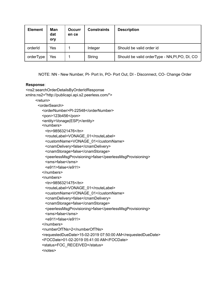| <b>Element</b> | Man<br>dat<br>ory | <b>Occurr</b><br>en ce | <b>Constraints</b> | <b>Description</b>                              |
|----------------|-------------------|------------------------|--------------------|-------------------------------------------------|
| orderId        | Yes               |                        | Integer            | Should be valid order id                        |
| orderType      | Yes               |                        | String             | Should be valid order Type - NN, PI, PO, DI, CO |

NOTE: NN - New Number, PI- Port In, PO- Port Out, DI - Disconnect, CO- Change Order

#### **Response**:

```
<ns2:searchOrderDetailsByOrderIdResponse
xmlns:ns2="http://publicapi.api.s2.peerless.com/">
    <return>
      <orderSearch>
        <orderNumber>PI-22548</orderNumber>
        <pon>123b456</pon>
        <entity>Vonage(ESP)</entity>
        <numbers>
         <tn>9856321476</tn>
         <routeLabel>VONAGE_01</routeLabel>
         <customName>VONAGE_01</customName>
          <cnamDelivery>false</cnamDelivery>
          <cnamStorage>false</cnamStorage>
          <peerlessMsgProvisioning>false</peerlessMsgProvisioning>
          <sms>false</sms>
          <e911>false</e911>
        </numbers>
        <numbers>
          <tn>9856321475</tn>
          <routeLabel>VONAGE_01</routeLabel>
          <customName>VONAGE_01</customName>
          <cnamDelivery>false</cnamDelivery>
          <cnamStorage>false</cnamStorage>
          <peerlessMsgProvisioning>false</peerlessMsgProvisioning>
          <sms>false</sms>
          <e911>false</e911>
        </numbers>
        <numberOfTNs>2</numberOfTNs>
        <requestedDueDate>15-02-2019 07:50:00 AM</requestedDueDate>
        <FOCDate>01-02-2019 05:41:00 AM</FOCDate>
        <status>FOC_RECEIVED</status>
        <notes>
```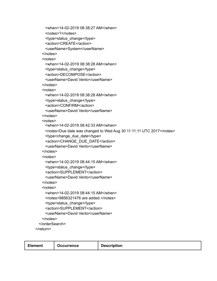```
<when>14-02-2019 08:38:27 AM</when>
   <notes>?</notes>
   <type>status_change</type>
   <action>CREATE</action>
   <userName>System</userName>
 </notes>
 <notes>
   <when>14-02-2019 08:38:28 AM</when>
   <type>status_change</type>
   <action>DECOMPOSE</action>
   <userName>David Vento</userName>
 </notes>
 <notes>
   <when>14-02-2019 08:38:28 AM</when>
   <type>status_change</type>
   <action>CONFIRM</action>
   <userName>David Vento</userName>
 </notes>
 <notes>
   <when>14-02-2019 08:42:33 AM</when>
   <notes>Due date was changed to Wed Aug 30 11:11:11 UTC 2017</notes>
   <type>change_due_date</type>
   <action>CHANGE_DUE_DATE</action>
   <userName>David Vento</userName>
 </notes>
 <notes>
   <when>14-02-2019 08:44:15 AM</when>
   <type>status_change</type>
   <action>SUPPLEMENT</action>
   <userName>David Vento</userName>
 </notes>
 <notes>
   <when>14-02-2019 08:44:15 AM</when>
   <notes>9856321476 are added.</notes>
   <type>status_change</type>
   <action>SUPPLEMENT</action>
   <userName>David Vento</userName>
 </notes>
</orderSearch>
```

```
</return>
```

| <b>Element</b><br><b>Occurrence</b> |
|-------------------------------------|
|-------------------------------------|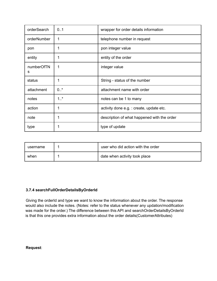| orderSearch     | 0.1     | wrapper for order details information       |
|-----------------|---------|---------------------------------------------|
| orderNumber     | 1       | telephone number in request                 |
| pon             | 1       | pon integer value                           |
| entity          | 1       | entity of the order                         |
| numberOfTN<br>s | 1       | integer value                               |
| status          | 1       | String - status of the number               |
| attachment      | $0.7*$  | attachment name with order                  |
| notes           | $1.1$ * | notes can be 1 to many                      |
| action          | 1       | activity done e.g. : create, update etc.    |
| note            | 1       | description of what happened with the order |
| type            | 1       | type of update                              |

| username | user who did action with the order |
|----------|------------------------------------|
| when     | date when activity took place      |

# **3.7.4 searchFullOrderDetailsByOrderId**

Giving the orderId and type we want to know the information about the order. The response would also include the notes. (Notes: refer to the status whenever any updation/modification was made for the order.) The difference between this API and searchOrderDetailsByOrderId is that this one provides extra information about the order details(CustomerAttributes)

**Request**: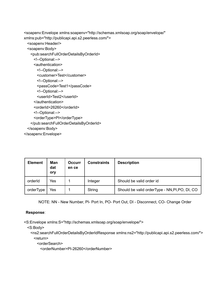<soapenv:Envelope xmlns:soapenv="http://schemas.xmlsoap.org/soap/envelope/" xmlns:pub="http://publicapi.api.s2.peerless.com/">

```
<soapenv:Header/>
```
<soapenv:Body>

```
<pub:searchFullOrderDetailsByOrderId>
```
<!--Optional:-->

```
<authentication>
```
<!--Optional:-->

<customer>Test</customer>

```
<!--Optional:-->
```
<passCode>Test1</passCode>

```
<!--Optional:-->
```
<userId>Test2</userId>

</authentication>

<orderId>26260</orderId>

```
<!--Optional:-->
```
<orderType>PI</orderType>

</pub:searchFullOrderDetailsByOrderId>

</soapenv:Body>

</soapenv:Envelope>

| <b>Element</b> | Man<br>dat<br>ory | <b>Occurr</b><br>en ce | <b>Constraints</b> | <b>Description</b>                             |
|----------------|-------------------|------------------------|--------------------|------------------------------------------------|
| orderId        | Yes               |                        | Integer            | Should be valid order id                       |
| orderType      | Yes               |                        | String             | Should be valid orderType - NN, PI, PO, DI, CO |

NOTE: NN - New Number, PI- Port In, PO- Port Out, DI - Disconnect, CO- Change Order

# **Response**:

<S:Envelope xmlns:S="http://schemas.xmlsoap.org/soap/envelope/">

<S:Body>

<ns2:searchFullOrderDetailsByOrderIdResponse xmlns:ns2="http://publicapi.api.s2.peerless.com/"> <return>

<orderSearch>

<orderNumber>PI-26260</orderNumber>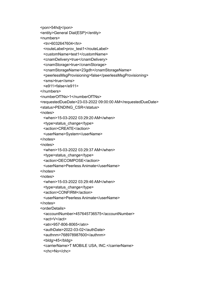```
<pon>54hdj</pon>
<entity>General Dial(ESP)</entity>
<numbers>
 <tn>6032647604</tn>
 <routeLabel>prov_test1</routeLabel>
 <customName>test1</customName>
 <cnamDelivery>true</cnamDelivery>
 <cnamStorage>true</cnamStorage>
 <cnamStorageName>23gdh</cnamStorageName>
 <peerlessMsgProvisioning>false</peerlessMsgProvisioning>
 <sms>true</sms>
 <e911>false</e911>
</numbers>
<numberOfTNs>1</numberOfTNs>
<requestedDueDate>23-03-2022 09:00:00 AM</requestedDueDate>
<status>PENDING_CSR</status>
<notes>
 <when>15-03-2022 03:29:20 AM</when>
 <type>status_change</type>
 <action>CREATE</action>
 <userName>System</userName>
</notes>
<notes>
 <when>15-03-2022 03:29:37 AM</when>
 <type>status_change</type>
 <action>DECOMPOSE</action>
 <userName>Peerless Animate</userName>
</notes>
<notes>
 <when>15-03-2022 03:29:46 AM</when>
 <type>status_change</type>
 <action>CONFIRM</action>
 <userName>Peerless Animate</userName>
</notes>
<orderDetails>
 <accountNumber>457645736575</accountNumber>
 <act>V</act>
 <atn>957-806-8065</atn>
 <authDate>2022-03-02</authDate>
 <authnm>768978987600</authnm>
 <bldg>45</bldg>
 <carrierName>T MOBILE USA, INC.</carrierName>
 <chc>No</chc>
```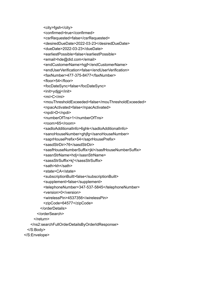<city>fgsh</city>

<confirmed>true</confirmed>

<csrRequested>false</csrRequested>

<desiredDueDate>2022-03-23</desiredDueDate>

<dueDate>2022-03-23</dueDate>

<earliestPossible>false</earliestPossible>

<email>hde@did.com</email>

<endCustomerName>hgjf</endCustomerName>

<endUserVerification>false</endUserVerification>

<faxNumber>477-375-8477</faxNumber>

<floor>54</floor>

<focDateSync>false</focDateSync>

<init>ydjgj</init>

<mi>C</mi>

<mouThresholdExceeded>false</mouThresholdExceeded>

<npacActivated>false</npacActivated>

<npdi>D</npdi>

<numberOfTns>1</numberOfTns>

<room>65</room>

<sadloAdditionalInfo>6ghk</sadloAdditionalInfo>

<sanoHouseNumber>ghjfg</sanoHouseNumber>

<saprHousePrefix>54</saprHousePrefix>

<sasdStrDir>76</sasdStrDir>

<sasfHouseNumberSuffix>jkl</sasfHouseNumberSuffix>

<sasnStrName>hdj</sasnStrName>

<sassStrSuffix>kj'</sassStrSuffix>

<sath>kh</sath>

<state>CA</state>

<subscriptionBuilt>false</subscriptionBuilt>

<supplement>false</supplement>

<telephoneNumber>347-537-5845</telephoneNumber>

<version>0</version>

<wirelessPin>4537356</wirelessPin>

<zipCode>64577</zipCode>

</orderDetails>

</orderSearch>

</return>

</ns2:searchFullOrderDetailsByOrderIdResponse>

</S:Body>

</S:Envelope>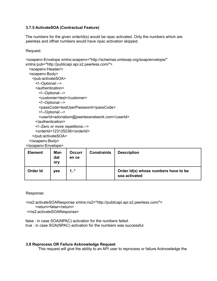# 3.7.5 ActivateSOA (Contractual Feature)

The numbers for the given order of (s) would be npac activated. Only the numbers which are peerless and offnet numbers would have npac activation skipped.

Request:

```
<soapeny:Envelope xmlns:soapeny="http://schemas.xmlsoap.org/soap/envelope/"
xmlns:pub="http://publicapi.api.s2.peerless.com/">
  <soapeny: Header/>
  <soapenv:Body>
   <pub:activateSOA>
     <!--Optional:-->
     <authentication>
       <!--Optional:-->
       <customer>test</customer>
       <!--Optional:-->
       <passCode>testUserPassword</passCode>
       <!--Optional:-->
```

```
<userId>adonalson@peerlessnetwork.com</userId>
```

```
</authentication>
```

```
<!--Zero or more repetitions:-->
```

```
<orderId>123125236</orderId>
```

```
</pub:activateSOA>
```
</soapenv:Body>

</soapenv:Envelope>

| <b>Element</b> | Man<br>dat<br>ory | <b>Occurr</b><br>en ce | <b>Constraints</b> | <b>Description</b>                                    |
|----------------|-------------------|------------------------|--------------------|-------------------------------------------------------|
| Order Id       | <b>ves</b>        | $1.$ *                 |                    | Order Id(s) whose numbers have to be<br>soa activated |

Response:

<ns2:activateSOAResponse xmlns:ns2="http://publicapi.api.s2.peerless.com/"> <return>false</return> </ns2:activateSOAResponse>

```
false: in case SOA(NPAC) activation for the numbers failed.
true : in case SOA(NPAC) activation for the numbers was successful.
```
## 3.8 Reprocess OR Failure Acknowledge Request

This request will give the ability to an API user to reprocess or failure Acknowledge the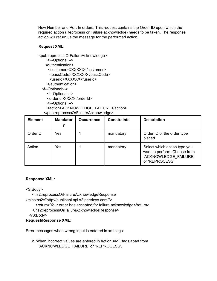New Number and Port In orders. This request contains the Order ID upon which the required action (Reprocess or Failure acknowledge) needs to be taken. The response action will return us the message for the performed action.

# **Request XML:**

<pub:reprocessOrFailureAcknowledge> <!--Optional:--> <authentication> <customer>XXXXXX</customer> <passCode>XXXXXX</passCode> <userId>XXXXXX</userId> </authentication> <!--Optional:--> <!--Optional:--> <orderId>XXXX</orderId> <!--Optional:--> <action>ACKNOWLEDGE\_FAILURE</action> </pub:reprocessOrFailureAcknowledge>

| <b>Element</b> | <b>Mandator</b> | <b>Occurrence</b> | <b>Constraints</b> | <b>Description</b>                                                                                      |  |
|----------------|-----------------|-------------------|--------------------|---------------------------------------------------------------------------------------------------------|--|
| OrderID        | Yes             |                   | mandatory          | Order ID of the order type<br>placed                                                                    |  |
| Action         | Yes             |                   | mandatory          | Select which action type you<br>want to perform. Choose from<br>'ACKNOWLEDGE FAILURE'<br>or 'REPROCESS' |  |

# **Response XML:**

<S:Body>

<ns2:reprocessOrFailureAcknowledgeResponse

xmlns:ns2="http://publicapi.api.s2.peerless.com/">

<return>Your order has accepted for failure acknowledge</return>

</ns2:reprocessOrFailureAcknowledgeResponse>

</S:Body>

## **Request/Response XML:**

Error messages when wrong input is entered in xml tags:

**2.** When incorrect values are entered in Action XML tags apart from 'ACKNOWLEDGE\_FAILURE' or 'REPROCESS'.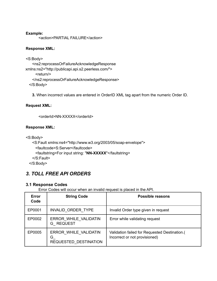#### **Example:**

<action>PARTIAL FAILURE</action>

# **Response XML:**

```
<S:Body>
   <ns2:reprocessOrFailureAcknowledgeResponse
xmlns:ns2="http://publicapi.api.s2.peerless.com/">
     <return/>
   </ns2:reprocessOrFailureAcknowledgeResponse>
 </S:Body>
```
**3.** When incorrect values are entered in OrderID XML tag apart from the numeric Order ID.

# **Request XML:**

<orderId>NN-XXXXX</orderId>

# **Response XML:**

<S:Body>

```
<S:Fault xmlns:ns4="http://www.w3.org/2003/05/soap-envelope">
   <faultcode>S:Server</faultcode>
   <faultstring>For input string: "NN-XXXXX"</faultstring>
 </S:Fault>
</S:Body>
```
# *3. TOLL FREE API ORDERS*

## **3.1 Response Codes**

Error Codes will occur when an invalid request is placed in the API.

| Error<br>Code | <b>String Code</b>                                   | Possible reasons                                                               |
|---------------|------------------------------------------------------|--------------------------------------------------------------------------------|
| EP0001        | INVALID ORDER TYPE                                   | Invalid Order type given in request                                            |
| EP0002        | ERROR WHILE VALIDATIN<br><b>G REQUEST</b>            | Error while validating request                                                 |
| EP0005        | ERROR WHILE VALIDATIN<br>G.<br>REQUESTED_DESTINATION | Validation failed for Requested Destination.(<br>Incorrect or not provisioned) |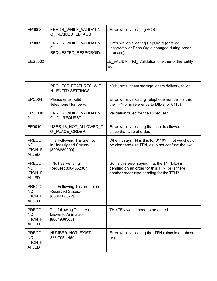| EP0008  | ERROR WHILE VALIDATIN<br>G REQUESTED AOS          | Error while validating AOS                                                                             |
|---------|---------------------------------------------------|--------------------------------------------------------------------------------------------------------|
| EP0009  | ERROR WHILE VALIDATIN<br>G<br>REQUESTED RESPORGID | Error while validating RepOrgId (entered<br>incorrectly or Resp Org'd changed during order<br>process) |
| EES0002 |                                                   | LE VALIDATING Validation of either of the Entity<br>res :                                              |

|                                                       | REQUEST_FEATURES_WIT<br>H ENTITYSETTINGS                                 | e911, sms, cnam storage, cnam delivery, failed.                                                                                           |
|-------------------------------------------------------|--------------------------------------------------------------------------|-------------------------------------------------------------------------------------------------------------------------------------------|
| <b>EPC004</b>                                         | Please enter valid<br>Telephone Number/s                                 | Error while validating Telephone number (Is this<br>the TFN or in reference to DID's for 0110)                                            |
| <b>EPDI000</b><br>2                                   | ERROR WHILE VALIDATIN<br><b>G_DI_REQUEST</b>                             | Validation failed for the DI request                                                                                                      |
| EP0010                                                | USER_IS_NOT_ALLOWED_T<br>O_PLACE_ORDER                                   | Error while validating that user is allowed to<br>place that type of order.                                                               |
| <b>PRECO</b><br><b>ND</b><br><b>ITION_F</b><br>AI LED | The Following Tns are not<br>in Unassigned Status:-<br>[8008880000]      | When it says TN is this for 0110? If not we should<br>be clear and use TFN, as to not confuse the two                                     |
| <b>PRECO</b><br><b>ND</b><br><b>ITION_F</b><br>AI LED | TNs has Pending<br>Request[8004852367]                                   | So, is this error saying that the TN (DID) is<br>pending on an order for this TFN, or is there<br>another order type pending for the TFN? |
| <b>PRECO</b><br><b>ND</b><br><b>ITION_F</b><br>AI LED | The Following Tns are not in<br><b>Reserved Status:-</b><br>[8004968372] |                                                                                                                                           |
| <b>PRECO</b><br><b>ND</b><br><b>ITION F</b><br>AI LED | The following Tns are not<br>known to Animate:-<br>[8004968368]          | THe TFN would need to be added                                                                                                            |
| <b>PRECO</b><br><b>ND</b><br><b>ITION F</b><br>AI LED | NUMBER NOT EXIST:<br>888-795-1459                                        | Error while validating that TFN exists in database<br>or not.                                                                             |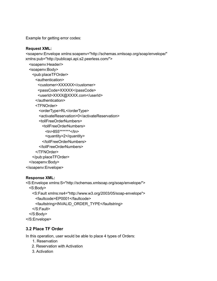Example for getting error codes:

#### **Request XML:**

<soapenv:Envelope xmlns:soapenv="http://schemas.xmlsoap.org/soap/envelope/" xmlns:pub="http://publicapi.api.s2.peerless.com/"> <soapenv:Header/> <soapenv:Body> <pub:placeTFOrder> <authentication> <customer>XXXXXX</customer> <passCode>XXXXX</passCode> <userId>XXXX@XXXX.com</userId> </authentication> <TFNOrder> <orderType>RL</orderType> <activateReservation>0</activateReservation> <tollFreeOrderNumbers> <tollFreeOrderNumbers> <tn>855\*\*\*\*\*\*\*</tn> <quantity>2</quantity> </tollFreeOrderNumbers> </tollFreeOrderNumbers> </TFNOrder> </pub:placeTFOrder> </soapenv:Body> </soapenv:Envelope>

## **Response XML:**

<S:Envelope xmlns:S="http://schemas.xmlsoap.org/soap/envelope/"> <S:Body> <S:Fault xmlns:ns4="http://www.w3.org/2003/05/soap-envelope"> <faultcode>EP0001</faultcode> <faultstring>INVALID\_ORDER\_TYPE</faultstring> </S:Fault> </S:Body> </S:Envelope>

# **3.2 Place TF Order**

In this operation, user would be able to place 4 types of Orders:

- 1. Reservation
- 2. Reservation with Activation
- 3. Activation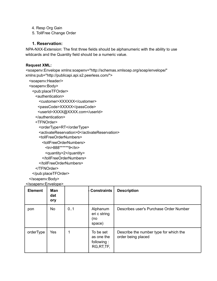4. Resp Org Gain

5. TollFree Change Order

# 1. Reservation:

NPA-NXX-Extension: The first three fields should be alphanumeric with the ability to use wildcards and the Quantity field should be a numeric value.

#### **Request XML:**

<soapenv:Envelope xmlns:soapenv="http://schemas.xmlsoap.org/soap/envelope/" xmlns:pub="http://publicapi.api.s2.peerless.com/">

<soapenv:Header/>

<soapenv:Body>

<pub:placeTFOrder>

<authentication>

<customer>XXXXXX</customer>

<passCode>XXXXX</passCode>

<userId>XXXX@XXXX.com</userId>

- </authentication>
- <TFNOrder>

<orderType>RT</orderType>

<activateReservation>0</activateReservation>

<tollFreeOrderNumbers>

<tollFreeOrderNumbers>

 $\times$ tn>888\*\*\*\*\*\*9</tn>

<quantity>2</quantity>

</tollFreeOrderNumbers>

</tollFreeOrderNumbers>

#### </TFNOrder>

</pub:placeTFOrder>

</soapenv:Body>

</soapeny:Envelope>

| <b>Element</b> | Man<br>dat<br>ory |     | <b>Constraints</b>                                   | <b>Description</b>                                           |
|----------------|-------------------|-----|------------------------------------------------------|--------------------------------------------------------------|
| pon            | <b>No</b>         | 0.1 | Alphanum<br>eri c string<br>(no<br>space)            | Describes user's Purchase Order Number                       |
| orderType      | Yes               | 1   | To be set<br>as one the<br>following:<br>RG, RT, TF, | Describe the number type for which the<br>order being placed |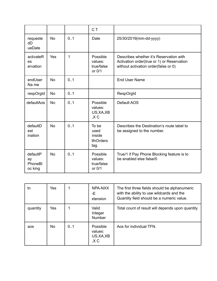|                                      |           |     | C T                                          |                                                                                                                               |
|--------------------------------------|-----------|-----|----------------------------------------------|-------------------------------------------------------------------------------------------------------------------------------|
| requeste<br>dD<br>ueDate             | <b>No</b> | 0.1 | Date                                         | 25/30/2019(mm-dd-yyyy)                                                                                                        |
| activateR<br><b>es</b><br>ervation   | Yes       | 1   | Possible<br>values:<br>true/false<br>or 0/1  | Describes whether it's Reservation with<br>Activation order(true or 1) or Reservation<br>without activation order(false or 0) |
| endUser<br>Na me                     | <b>No</b> | 0.1 |                                              | <b>End User Name</b>                                                                                                          |
| respOrgId                            | <b>No</b> | 0.1 |                                              | RespOrgId                                                                                                                     |
| defaultAos                           | <b>No</b> | 0.1 | Possible<br>values:<br>US, XA, XB<br>, X C   | Default AOS                                                                                                                   |
| defaultD<br>est<br>ination           | <b>No</b> | 0.1 | To be<br>used<br>inside<br>tfnOrders<br>tag. | Describes the Destination's route label to<br>be assigned to the number.                                                      |
| defaultP<br>ay<br>PhoneBI<br>oc king | <b>No</b> | 0.1 | Possible<br>values:<br>true/false<br>or 0/1  | True/1 if Pay Phone Blocking feature is to<br>be enabled else false/0                                                         |

| tn       | <b>Yes</b> |    | NPA-NXX<br>-Е<br>xtension                 | The first three fields should be alphanumeric<br>with the ability to use wildcards and the<br>Quantity field should be a numeric value. |
|----------|------------|----|-------------------------------------------|-----------------------------------------------------------------------------------------------------------------------------------------|
| quantity | Yes        |    | Valid<br>Integer<br><b>Number</b>         | Total count of result will depends upon quantity                                                                                        |
| aos      | <b>No</b>  | 01 | Possible<br>values:<br>US, XA, XB<br>.X C | Aos for individual TFN.                                                                                                                 |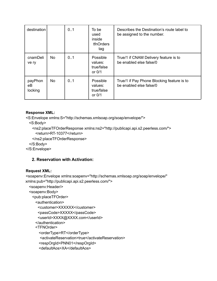| destination              |           | 0.1 | To be<br>used<br>inside<br>tfnOrders<br>tag   | Describes the Destination's route label to<br>be assigned to the number. |
|--------------------------|-----------|-----|-----------------------------------------------|--------------------------------------------------------------------------|
| cnamDeli<br>ve ry        | <b>No</b> | 0.1 | Possible<br>values:<br>true/false<br>or $0/1$ | True/1 if CNAM Delivery feature is to<br>be enabled else false/0         |
| payPhon<br>eВ<br>locking | <b>No</b> | 0.1 | Possible<br>values:<br>true/false<br>or $0/1$ | True/1 if Pay Phone Blocking feature is to<br>be enabled else false/0    |

## **Response XML:**

<S:Envelope xmlns:S="http://schemas.xmlsoap.org/soap/envelope/">

<S:Body>

<ns2:placeTFOrderResponse xmlns:ns2="http://publicapi.api.s2.peerless.com/"> <return>RT-10377</return>

</ns2:placeTFOrderResponse>

</S:Body>

</S:Envelope>

# **2. Reservation with Activation:**

## **Request XML:**

<soapenv:Envelope xmlns:soapenv="http://schemas.xmlsoap.org/soap/envelope/" xmlns:pub="http://publicapi.api.s2.peerless.com/">

<soapenv:Header/> <soapenv:Body> <pub:placeTFOrder> <authentication> <customer>XXXXXX</customer> <passCode>XXXXX</passCode> <userId>XXXX@XXXX.com</userId> </authentication> <TFNOrder> <orderType>RT</orderType> <activateReservation>true</activateReservation> <respOrgId>PNN01</respOrgId> <defaultAos>XA</defaultAos>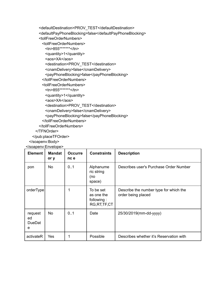```
<defaultDestination>PROV_TEST</defaultDestination>
<defaultPayPhoneBlocking>false</defaultPayPhoneBlocking>
<tollFreeOrderNumbers>
 <tollFreeOrderNumbers>
   <tn>855*******</tn>
   <quantity>1</quantity>
   <aos>XA</aos>
   <destination>PROV_TEST</destination>
   <cnamDelivery>false</cnamDelivery>
   <payPhoneBlocking>false</payPhoneBlocking>
 </tollFreeOrderNumbers>
 <tollFreeOrderNumbers>
   <tn>855*******</tn>
   <quantity>1</quantity>
   <aos>XA</aos>
   <destination>PROV_TEST</destination>
   <cnamDelivery>false</cnamDelivery>
   <payPhoneBlocking>false</payPhoneBlocking>
 </tollFreeOrderNumbers>
</tollFreeOrderNumbers>
```
#### </TFNOrder>

</pub:placeTFOrder>

</soapenv:Body>

</soapenv:Envelope>

| <b>Element</b>                      | <b>Mandat</b><br>or y | <b>Occurre</b><br>nc e | <b>Constraints</b>                                      | <b>Description</b>                                           |
|-------------------------------------|-----------------------|------------------------|---------------------------------------------------------|--------------------------------------------------------------|
| pon                                 | No                    | 0.1                    | Alphanume<br>ric string<br>(no<br>space)                | Describes user's Purchase Order Number                       |
| orderType                           |                       |                        | To be set<br>as one the<br>following:<br>RG, RT, TF, CT | Describe the number type for which the<br>order being placed |
| request<br>ed<br><b>DueDat</b><br>e | No                    | 0.1                    | Date                                                    | 25/30/2019(mm-dd-yyyy)                                       |
| activateR                           | Yes                   |                        | Possible                                                | Describes whether it's Reservation with                      |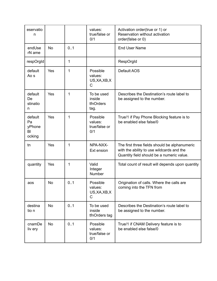| eservatio<br>n                          |           |     | values:<br>true/false or<br>0/1             | Activation order(true or 1) or<br>Reservation without activation<br>order(false or 0)                                                   |
|-----------------------------------------|-----------|-----|---------------------------------------------|-----------------------------------------------------------------------------------------------------------------------------------------|
| endUse<br>rN ame                        | <b>No</b> | 0.1 |                                             | <b>End User Name</b>                                                                                                                    |
| respOrgId                               |           | 1   |                                             | RespOrgId                                                                                                                               |
| default<br>Ao s                         | Yes       | 1   | Possible<br>values:<br>US, XA, XB, X<br>C   | Default AOS                                                                                                                             |
| default<br>De<br>stinatio<br>n          | Yes       | 1   | To be used<br>inside<br>tfnOrders<br>tag.   | Describes the Destination's route label to<br>be assigned to the number.                                                                |
| default<br>Pa<br>yPhone<br>BI<br>ocking | Yes       | 1   | Possible<br>values:<br>true/false or<br>0/1 | True/1 if Pay Phone Blocking feature is to<br>be enabled else false/0                                                                   |
| tn                                      | Yes       | 1   | NPA-NXX-<br>Ext ension                      | The first three fields should be alphanumeric<br>with the ability to use wildcards and the<br>Quantity field should be a numeric value. |
| quantity                                | Yes       | 1   | Valid<br>Integer<br>Number                  | Total count of result will depends upon quantity                                                                                        |
| aos                                     | No.       | 01  | Possible<br>values:<br>US, XA, XB, X<br>С   | Origination of calls. Where the calls are<br>coming into the TFN from                                                                   |
| destina<br>tio n                        | <b>No</b> | 0.1 | To be used<br>inside<br>tfnOrders tag       | Describes the Destination's route label to<br>be assigned to the number.                                                                |
| cnamDe<br>liv ery                       | No        | 0.1 | Possible<br>values:<br>true/false or<br>0/1 | True/1 if CNAM Delivery feature is to<br>be enabled else false/0                                                                        |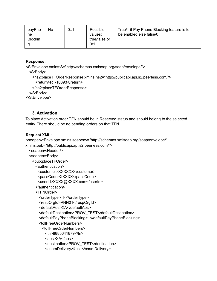| payPho<br>ne<br><b>Blockin</b> | No<br>0.1 | Possible<br>values:<br>true/false or<br>0/1 | True/1 if Pay Phone Blocking feature is to<br>be enabled else false/0 |
|--------------------------------|-----------|---------------------------------------------|-----------------------------------------------------------------------|
|--------------------------------|-----------|---------------------------------------------|-----------------------------------------------------------------------|

# **Response:**

```
<S:Envelope xmlns:S="http://schemas.xmlsoap.org/soap/envelope/">
 <S:Body>
   <ns2:placeTFOrderResponse xmlns:ns2="http://publicapi.api.s2.peerless.com/">
     <return>RT-10393</return>
   </ns2:placeTFOrderResponse>
 </S:Body>
</S:Envelope>
```
# 3. Activation:

To place Activation order TFN should be in Reserved status and should belong to the selected entity. There should be no pending orders on that TFN.

#### **Request XML:**

<soapenv:Envelope xmlns:soapenv="http://schemas.xmlsoap.org/soap/envelope/"

xmlns:pub="http://publicapi.api.s2.peerless.com/">

```
<soapenv:Header/>
<soapenv:Body>
 <pub:placeTFOrder>
   <authentication>
    <customer>XXXXXX</customer>
    <passCode>XXXXX</passCode>
    <userId>XXXX@XXXX.com</userId>
   </authentication>
   <TFNOrder>
     <orderType>TF</orderType>
     <respOrgId>PNN01</respOrgId>
     <defaultAos>XA</defaultAos>
     <defaultDestination>PROV TEST</defaultDestination>
     <defaultPayPhoneBlocking>1</defaultPayPhoneBlocking>
    <tollFreeOrderNumbers>
      <tollFreeOrderNumbers>
        \langletn>8885641879\langletn>
        <aos>XA</aos>
        <destination>PROV TEST</destination>
        <cnamDelivery>false</cnamDelivery>
```